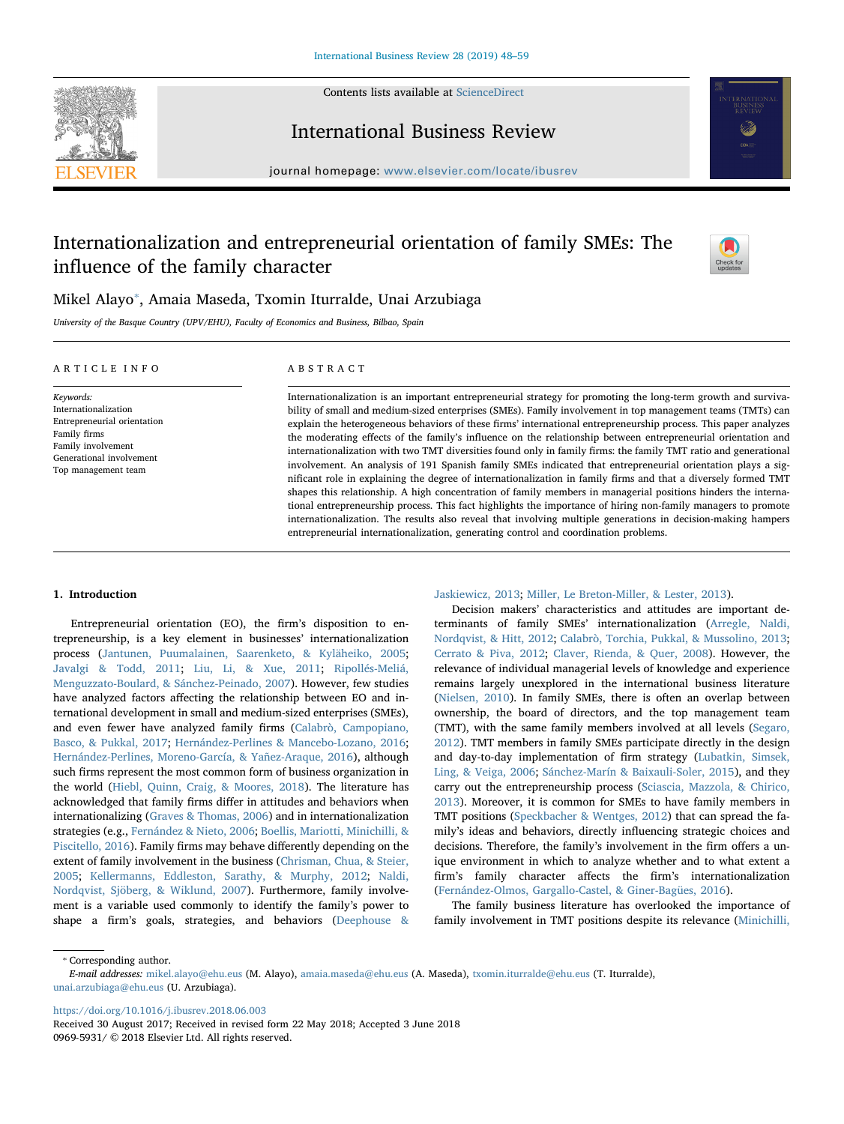



International Business Review



# Internationalization and entrepreneurial orientation of family SMEs: The influence of the family character



## Mikel Alayo[⁎](#page-0-0) , Amaia Maseda, Txomin Iturralde, Unai Arzubiaga

University of the Basque Country (UPV/EHU), Faculty of Economics and Business, Bilbao, Spain

| ARTICLE INFO                | ABSTRACT                                                                                                                                                                                                                                                                                                                                                                                                                                    |
|-----------------------------|---------------------------------------------------------------------------------------------------------------------------------------------------------------------------------------------------------------------------------------------------------------------------------------------------------------------------------------------------------------------------------------------------------------------------------------------|
| Keywords:                   | Internationalization is an important entrepreneurial strategy for promoting the long-term growth and surviva-                                                                                                                                                                                                                                                                                                                               |
| Internationalization        | bility of small and medium-sized enterprises (SMEs). Family involvement in top management teams (TMTs) can                                                                                                                                                                                                                                                                                                                                  |
| Entrepreneurial orientation | explain the heterogeneous behaviors of these firms' international entrepreneurship process. This paper analyzes                                                                                                                                                                                                                                                                                                                             |
| Family firms                | the moderating effects of the family's influence on the relationship between entrepreneurial orientation and                                                                                                                                                                                                                                                                                                                                |
| Family involvement          | internationalization with two TMT diversities found only in family firms: the family TMT ratio and generational                                                                                                                                                                                                                                                                                                                             |
| Generational involvement    |                                                                                                                                                                                                                                                                                                                                                                                                                                             |
| Top management team         | involvement. An analysis of 191 Spanish family SMEs indicated that entrepreneurial orientation plays a sig-<br>$\mathcal{L}^{(n)}$ . The state of the state $\mathcal{L}^{(n)}$ , $\mathcal{L}^{(n)}$ , $\mathcal{L}^{(n)}$ , $\mathcal{L}^{(n)}$ , $\mathcal{L}^{(n)}$ , $\mathcal{L}^{(n)}$ , $\mathcal{L}^{(n)}$ , $\mathcal{L}^{(n)}$ , $\mathcal{L}^{(n)}$ , $\mathcal{L}^{(n)}$ , $\mathcal{L}^{(n)}$ , $\mathcal{L}^{(n)}$ , $\math$ |

## 1. Introduction

Entrepreneurial orientation (EO), the firm's disposition to entrepreneurship, is a key element in businesses' internationalization process [\(Jantunen, Puumalainen, Saarenketo, & Kyläheiko, 2005](#page-10-0); [Javalgi & Todd, 2011;](#page-10-1) [Liu, Li, & Xue, 2011;](#page-11-0) [Ripollés-Meliá,](#page-11-1) [Menguzzato-Boulard, & Sánchez-Peinado, 2007](#page-11-1)). However, few studies have analyzed factors affecting the relationship between EO and international development in small and medium-sized enterprises (SMEs), and even fewer have analyzed family firms [\(Calabrò, Campopiano,](#page-10-2) [Basco, & Pukkal, 2017](#page-10-2); [Hernández-Perlines & Mancebo-Lozano, 2016](#page-10-3); [Hernández-Perlines, Moreno-García, & Yañez-Araque, 2016](#page-10-4)), although such firms represent the most common form of business organization in the world [\(Hiebl, Quinn, Craig, & Moores, 2018\)](#page-10-5). The literature has acknowledged that family firms differ in attitudes and behaviors when internationalizing ([Graves & Thomas, 2006](#page-10-6)) and in internationalization strategies (e.g., [Fernández & Nieto, 2006](#page-10-7); [Boellis, Mariotti, Minichilli, &](#page-9-0) [Piscitello, 2016\)](#page-9-0). Family firms may behave differently depending on the extent of family involvement in the business [\(Chrisman, Chua, & Steier,](#page-10-8) [2005;](#page-10-8) [Kellermanns, Eddleston, Sarathy, & Murphy, 2012](#page-10-9); [Naldi,](#page-11-2) [Nordqvist, Sjöberg, & Wiklund, 2007](#page-11-2)). Furthermore, family involvement is a variable used commonly to identify the family's power to shape a firm's goals, strategies, and behaviors ([Deephouse &](#page-10-10)

## [Jaskiewicz, 2013](#page-10-10); [Miller, Le Breton-Miller, & Lester, 2013](#page-11-3)).

nificant role in explaining the degree of internationalization in family firms and that a diversely formed TMT shapes this relationship. A high concentration of family members in managerial positions hinders the international entrepreneurship process. This fact highlights the importance of hiring non-family managers to promote internationalization. The results also reveal that involving multiple generations in decision-making hampers

entrepreneurial internationalization, generating control and coordination problems.

Decision makers' characteristics and attitudes are important determinants of family SMEs' internationalization [\(Arregle, Naldi,](#page-9-1) [Nordqvist, & Hitt, 2012;](#page-9-1) [Calabrò, Torchia, Pukkal, & Mussolino, 2013](#page-10-11); [Cerrato & Piva, 2012;](#page-10-12) [Claver, Rienda, & Quer, 2008](#page-10-13)). However, the relevance of individual managerial levels of knowledge and experience remains largely unexplored in the international business literature ([Nielsen, 2010\)](#page-11-4). In family SMEs, there is often an overlap between ownership, the board of directors, and the top management team (TMT), with the same family members involved at all levels ([Segaro,](#page-11-5) [2012\)](#page-11-5). TMT members in family SMEs participate directly in the design and day-to-day implementation of firm strategy ([Lubatkin, Simsek,](#page-11-6) [Ling, & Veiga, 2006](#page-11-6); [Sánchez-Marín & Baixauli-Soler, 2015](#page-11-7)), and they carry out the entrepreneurship process [\(Sciascia, Mazzola, & Chirico,](#page-11-8) [2013\)](#page-11-8). Moreover, it is common for SMEs to have family members in TMT positions [\(Speckbacher & Wentges, 2012](#page-11-9)) that can spread the family's ideas and behaviors, directly influencing strategic choices and decisions. Therefore, the family's involvement in the firm offers a unique environment in which to analyze whether and to what extent a firm's family character affects the firm's internationalization ([Fernández-Olmos, Gargallo-Castel, & Giner-Bagües, 2016](#page-10-14)).

The family business literature has overlooked the importance of family involvement in TMT positions despite its relevance [\(Minichilli,](#page-11-10)

<span id="page-0-0"></span>⁎ Corresponding author.

<https://doi.org/10.1016/j.ibusrev.2018.06.003>

E-mail addresses: [mikel.alayo@ehu.eus](mailto:mikel.alayo@ehu.eus) (M. Alayo), [amaia.maseda@ehu.eus](mailto:amaia.maseda@ehu.eus) (A. Maseda), [txomin.iturralde@ehu.eus](mailto:txomin.iturralde@ehu.eus) (T. Iturralde), [unai.arzubiaga@ehu.eus](mailto:unai.arzubiaga@ehu.eus) (U. Arzubiaga).

Received 30 August 2017; Received in revised form 22 May 2018; Accepted 3 June 2018 0969-5931/ © 2018 Elsevier Ltd. All rights reserved.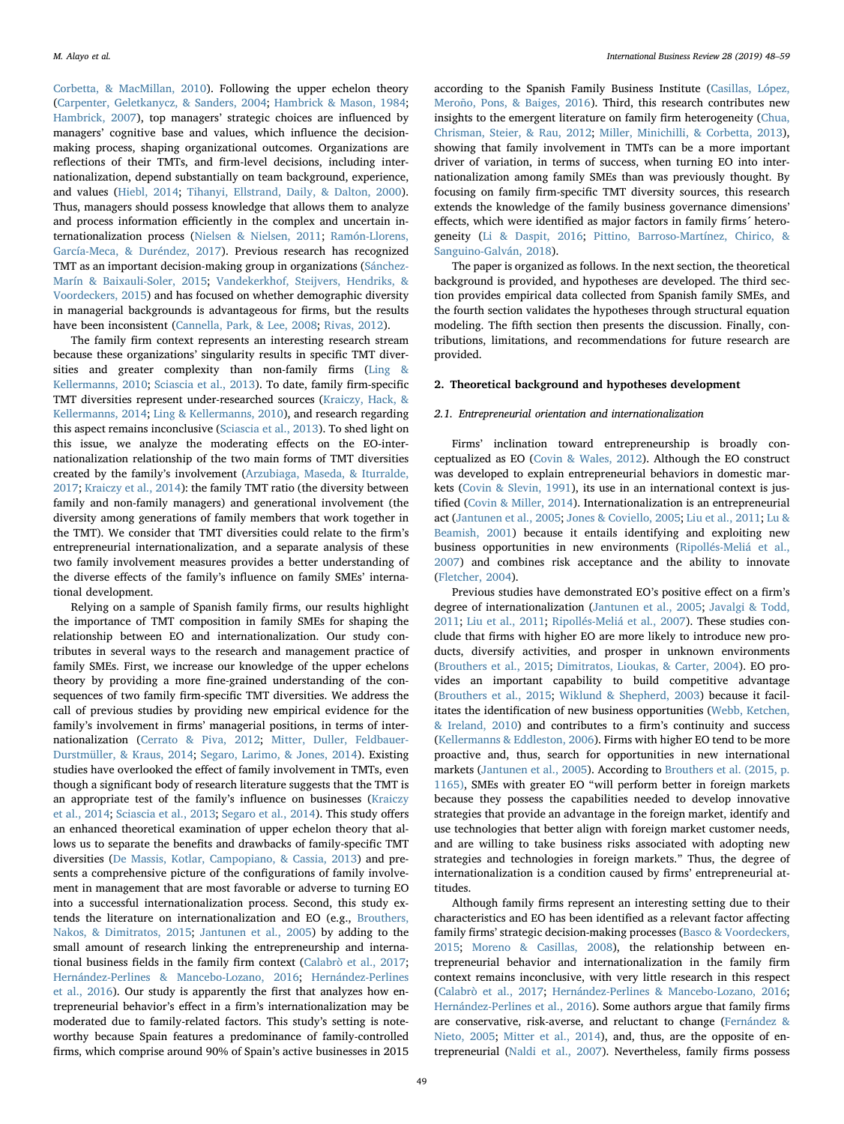[Corbetta, & MacMillan, 2010\)](#page-11-10). Following the upper echelon theory ([Carpenter, Geletkanycz, & Sanders, 2004](#page-10-15); [Hambrick & Mason, 1984](#page-10-16); [Hambrick, 2007](#page-10-17)), top managers' strategic choices are influenced by managers' cognitive base and values, which influence the decisionmaking process, shaping organizational outcomes. Organizations are reflections of their TMTs, and firm-level decisions, including internationalization, depend substantially on team background, experience, and values [\(Hiebl, 2014](#page-10-18); [Tihanyi, Ellstrand, Daily, & Dalton, 2000](#page-11-11)). Thus, managers should possess knowledge that allows them to analyze and process information efficiently in the complex and uncertain internationalization process [\(Nielsen & Nielsen, 2011](#page-11-12); [Ramón-Llorens,](#page-11-13) [García-Meca, & Duréndez, 2017](#page-11-13)). Previous research has recognized TMT as an important decision-making group in organizations [\(Sánchez-](#page-11-7)[Marín & Baixauli-Soler, 2015](#page-11-7); [Vandekerkhof, Steijvers, Hendriks, &](#page-11-14) [Voordeckers, 2015\)](#page-11-14) and has focused on whether demographic diversity in managerial backgrounds is advantageous for firms, but the results have been inconsistent [\(Cannella, Park, & Lee, 2008;](#page-10-19) [Rivas, 2012\)](#page-11-15).

The family firm context represents an interesting research stream because these organizations' singularity results in specific TMT diversities and greater complexity than non-family firms [\(Ling &](#page-11-16) [Kellermanns, 2010](#page-11-16); [Sciascia et al., 2013](#page-11-8)). To date, family firm-specific TMT diversities represent under-researched sources [\(Kraiczy, Hack, &](#page-10-20) [Kellermanns, 2014;](#page-10-20) [Ling & Kellermanns, 2010](#page-11-16)), and research regarding this aspect remains inconclusive ([Sciascia et al., 2013\)](#page-11-8). To shed light on this issue, we analyze the moderating effects on the EO-internationalization relationship of the two main forms of TMT diversities created by the family's involvement ([Arzubiaga, Maseda, & Iturralde,](#page-9-2) [2017;](#page-9-2) [Kraiczy et al., 2014\)](#page-10-20): the family TMT ratio (the diversity between family and non-family managers) and generational involvement (the diversity among generations of family members that work together in the TMT). We consider that TMT diversities could relate to the firm's entrepreneurial internationalization, and a separate analysis of these two family involvement measures provides a better understanding of the diverse effects of the family's influence on family SMEs' international development.

Relying on a sample of Spanish family firms, our results highlight the importance of TMT composition in family SMEs for shaping the relationship between EO and internationalization. Our study contributes in several ways to the research and management practice of family SMEs. First, we increase our knowledge of the upper echelons theory by providing a more fine-grained understanding of the consequences of two family firm-specific TMT diversities. We address the call of previous studies by providing new empirical evidence for the family's involvement in firms' managerial positions, in terms of internationalization [\(Cerrato & Piva, 2012;](#page-10-12) [Mitter, Duller, Feldbauer-](#page-11-17)[Durstmüller, & Kraus, 2014;](#page-11-17) [Segaro, Larimo, & Jones, 2014](#page-11-18)). Existing studies have overlooked the effect of family involvement in TMTs, even though a significant body of research literature suggests that the TMT is an appropriate test of the family's influence on businesses [\(Kraiczy](#page-10-20) [et al., 2014;](#page-10-20) [Sciascia et al., 2013](#page-11-8); [Segaro et al., 2014\)](#page-11-18). This study offers an enhanced theoretical examination of upper echelon theory that allows us to separate the benefits and drawbacks of family-specific TMT diversities ([De Massis, Kotlar, Campopiano, & Cassia, 2013](#page-10-21)) and presents a comprehensive picture of the configurations of family involvement in management that are most favorable or adverse to turning EO into a successful internationalization process. Second, this study extends the literature on internationalization and EO (e.g., [Brouthers,](#page-9-3) [Nakos, & Dimitratos, 2015](#page-9-3); [Jantunen et al., 2005](#page-10-0)) by adding to the small amount of research linking the entrepreneurship and international business fields in the family firm context ([Calabrò et al., 2017](#page-10-2); [Hernández-Perlines & Mancebo-Lozano, 2016](#page-10-3); [Hernández-Perlines](#page-10-4) [et al., 2016\)](#page-10-4). Our study is apparently the first that analyzes how entrepreneurial behavior's effect in a firm's internationalization may be moderated due to family-related factors. This study's setting is noteworthy because Spain features a predominance of family-controlled firms, which comprise around 90% of Spain's active businesses in 2015

according to the Spanish Family Business Institute ([Casillas, López,](#page-10-22) [Meroño, Pons, & Baiges, 2016\)](#page-10-22). Third, this research contributes new insights to the emergent literature on family firm heterogeneity [\(Chua,](#page-10-23) [Chrisman, Steier, & Rau, 2012;](#page-10-23) [Miller, Minichilli, & Corbetta, 2013](#page-11-19)), showing that family involvement in TMTs can be a more important driver of variation, in terms of success, when turning EO into internationalization among family SMEs than was previously thought. By focusing on family firm-specific TMT diversity sources, this research extends the knowledge of the family business governance dimensions' effects, which were identified as major factors in family firms´ heterogeneity ([Li & Daspit, 2016;](#page-10-24) [Pittino, Barroso-Martínez, Chirico, &](#page-11-20) [Sanguino-Galván, 2018](#page-11-20)).

The paper is organized as follows. In the next section, the theoretical background is provided, and hypotheses are developed. The third section provides empirical data collected from Spanish family SMEs, and the fourth section validates the hypotheses through structural equation modeling. The fifth section then presents the discussion. Finally, contributions, limitations, and recommendations for future research are provided.

## 2. Theoretical background and hypotheses development

## 2.1. Entrepreneurial orientation and internationalization

Firms' inclination toward entrepreneurship is broadly conceptualized as EO ([Covin & Wales, 2012](#page-10-25)). Although the EO construct was developed to explain entrepreneurial behaviors in domestic markets ([Covin & Slevin, 1991](#page-10-26)), its use in an international context is justified [\(Covin & Miller, 2014\)](#page-10-27). Internationalization is an entrepreneurial act [\(Jantunen et al., 2005;](#page-10-0) [Jones & Coviello, 2005;](#page-10-28) [Liu et al., 2011](#page-11-0); [Lu &](#page-11-21) [Beamish, 2001\)](#page-11-21) because it entails identifying and exploiting new business opportunities in new environments ([Ripollés-Meliá et al.,](#page-11-1) [2007\)](#page-11-1) and combines risk acceptance and the ability to innovate ([Fletcher, 2004](#page-10-29)).

Previous studies have demonstrated EO's positive effect on a firm's degree of internationalization ([Jantunen et al., 2005;](#page-10-0) Javalgi [& Todd,](#page-10-1) [2011;](#page-10-1) [Liu et al., 2011;](#page-11-0) [Ripollés-Meliá et al., 2007](#page-11-1)). These studies conclude that firms with higher EO are more likely to introduce new products, diversify activities, and prosper in unknown environments ([Brouthers et al., 2015](#page-9-3); [Dimitratos, Lioukas, & Carter, 2004\)](#page-10-30). EO provides an important capability to build competitive advantage ([Brouthers et al., 2015](#page-9-3); [Wiklund & Shepherd, 2003](#page-11-22)) because it facilitates the identification of new business opportunities [\(Webb, Ketchen,](#page-11-23) [& Ireland, 2010](#page-11-23)) and contributes to a firm's continuity and success ([Kellermanns & Eddleston, 2006](#page-10-31)). Firms with higher EO tend to be more proactive and, thus, search for opportunities in new international markets ([Jantunen et al., 2005\)](#page-10-0). According to [Brouthers et al. \(2015, p.](#page-9-3) [1165\),](#page-9-3) SMEs with greater EO "will perform better in foreign markets because they possess the capabilities needed to develop innovative strategies that provide an advantage in the foreign market, identify and use technologies that better align with foreign market customer needs, and are willing to take business risks associated with adopting new strategies and technologies in foreign markets." Thus, the degree of internationalization is a condition caused by firms' entrepreneurial attitudes.

Although family firms represent an interesting setting due to their characteristics and EO has been identified as a relevant factor affecting family firms' strategic decision-making processes [\(Basco & Voordeckers,](#page-9-4) [2015;](#page-9-4) [Moreno & Casillas, 2008](#page-11-24)), the relationship between entrepreneurial behavior and internationalization in the family firm context remains inconclusive, with very little research in this respect ([Calabrò et al., 2017;](#page-10-2) [Hernández-Perlines & Mancebo-Lozano, 2016](#page-10-3); [Hernández-Perlines et al., 2016\)](#page-10-4). Some authors argue that family firms are conservative, risk-averse, and reluctant to change ([Fernández &](#page-10-32) [Nieto, 2005;](#page-10-32) [Mitter et al., 2014\)](#page-11-17), and, thus, are the opposite of entrepreneurial [\(Naldi et al., 2007\)](#page-11-2). Nevertheless, family firms possess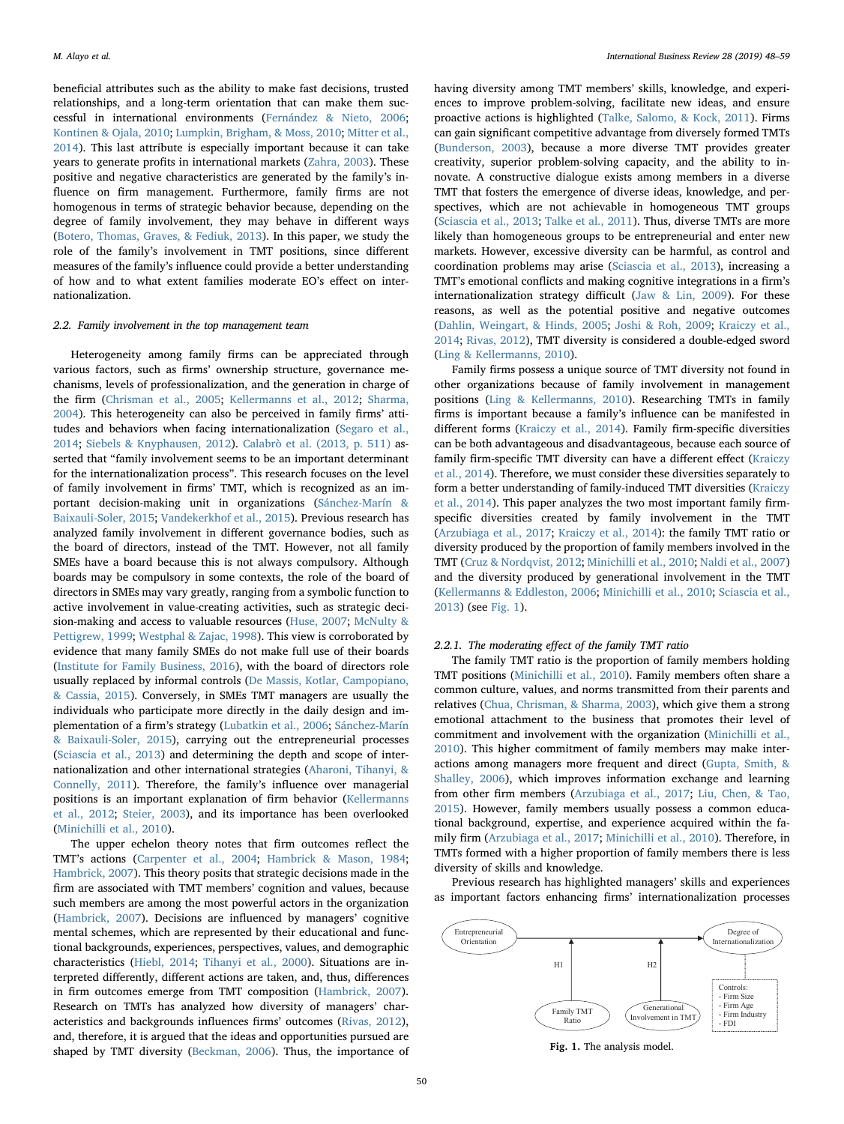beneficial attributes such as the ability to make fast decisions, trusted relationships, and a long-term orientation that can make them successful in international environments ([Fernández & Nieto, 2006](#page-10-7); [Kontinen & Ojala, 2010;](#page-10-33) [Lumpkin, Brigham, & Moss, 2010](#page-11-25); [Mitter et al.,](#page-11-17) [2014\)](#page-11-17). This last attribute is especially important because it can take years to generate profits in international markets [\(Zahra, 2003\)](#page-11-26). These positive and negative characteristics are generated by the family's influence on firm management. Furthermore, family firms are not homogenous in terms of strategic behavior because, depending on the degree of family involvement, they may behave in different ways ([Botero, Thomas, Graves, & Fediuk, 2013\)](#page-9-5). In this paper, we study the role of the family's involvement in TMT positions, since different measures of the family's influence could provide a better understanding of how and to what extent families moderate EO's effect on internationalization.

## 2.2. Family involvement in the top management team

Heterogeneity among family firms can be appreciated through various factors, such as firms' ownership structure, governance mechanisms, levels of professionalization, and the generation in charge of the firm ([Chrisman et al., 2005;](#page-10-8) [Kellermanns et al., 2012](#page-10-9); [Sharma,](#page-11-27) [2004\)](#page-11-27). This heterogeneity can also be perceived in family firms' attitudes and behaviors when facing internationalization ([Segaro et al.,](#page-11-18) [2014;](#page-11-18) [Siebels & Knyphausen, 2012](#page-11-28)). [Calabrò et al. \(2013, p. 511\)](#page-10-11) asserted that "family involvement seems to be an important determinant for the internationalization process". This research focuses on the level of family involvement in firms' TMT, which is recognized as an important decision-making unit in organizations ([Sánchez-Marín &](#page-11-7) [Baixauli-Soler, 2015](#page-11-7); [Vandekerkhof et al., 2015](#page-11-14)). Previous research has analyzed family involvement in different governance bodies, such as the board of directors, instead of the TMT. However, not all family SMEs have a board because this is not always compulsory. Although boards may be compulsory in some contexts, the role of the board of directors in SMEs may vary greatly, ranging from a symbolic function to active involvement in value-creating activities, such as strategic decision-making and access to valuable resources ([Huse, 2007](#page-10-34); [McNulty &](#page-11-29) [Pettigrew, 1999;](#page-11-29) [Westphal & Zajac, 1998](#page-11-30)). This view is corroborated by evidence that many family SMEs do not make full use of their boards ([Institute for Family Business, 2016](#page-10-35)), with the board of directors role usually replaced by informal controls ([De Massis, Kotlar, Campopiano,](#page-10-36) [& Cassia, 2015\)](#page-10-36). Conversely, in SMEs TMT managers are usually the individuals who participate more directly in the daily design and implementation of a firm's strategy [\(Lubatkin et al., 2006;](#page-11-6) [Sánchez-Marín](#page-11-7) [& Baixauli-Soler, 2015](#page-11-7)), carrying out the entrepreneurial processes ([Sciascia et al., 2013](#page-11-8)) and determining the depth and scope of internationalization and other international strategies ([Aharoni, Tihanyi, &](#page-9-6) [Connelly, 2011\)](#page-9-6). Therefore, the family's influence over managerial positions is an important explanation of firm behavior ([Kellermanns](#page-10-9) [et al., 2012;](#page-10-9) [Steier, 2003](#page-11-31)), and its importance has been overlooked ([Minichilli et al., 2010](#page-11-10)).

The upper echelon theory notes that firm outcomes reflect the TMT's actions ([Carpenter et al., 2004](#page-10-15); [Hambrick & Mason, 1984](#page-10-16); [Hambrick, 2007](#page-10-17)). This theory posits that strategic decisions made in the firm are associated with TMT members' cognition and values, because such members are among the most powerful actors in the organization ([Hambrick, 2007\)](#page-10-17). Decisions are influenced by managers' cognitive mental schemes, which are represented by their educational and functional backgrounds, experiences, perspectives, values, and demographic characteristics ([Hiebl, 2014;](#page-10-18) [Tihanyi et al., 2000\)](#page-11-11). Situations are interpreted differently, different actions are taken, and, thus, differences in firm outcomes emerge from TMT composition ([Hambrick, 2007](#page-10-17)). Research on TMTs has analyzed how diversity of managers' characteristics and backgrounds influences firms' outcomes [\(Rivas, 2012](#page-11-15)), and, therefore, it is argued that the ideas and opportunities pursued are shaped by TMT diversity ([Beckman, 2006\)](#page-9-7). Thus, the importance of having diversity among TMT members' skills, knowledge, and experiences to improve problem-solving, facilitate new ideas, and ensure proactive actions is highlighted [\(Talke, Salomo, & Kock, 2011\)](#page-11-32). Firms can gain significant competitive advantage from diversely formed TMTs ([Bunderson, 2003](#page-9-8)), because a more diverse TMT provides greater creativity, superior problem-solving capacity, and the ability to innovate. A constructive dialogue exists among members in a diverse TMT that fosters the emergence of diverse ideas, knowledge, and perspectives, which are not achievable in homogeneous TMT groups ([Sciascia et al., 2013](#page-11-8); [Talke et al., 2011\)](#page-11-32). Thus, diverse TMTs are more likely than homogeneous groups to be entrepreneurial and enter new markets. However, excessive diversity can be harmful, as control and coordination problems may arise [\(Sciascia et al., 2013\)](#page-11-8), increasing a TMT's emotional conflicts and making cognitive integrations in a firm's internationalization strategy difficult ([Jaw & Lin, 2009](#page-10-37)). For these reasons, as well as the potential positive and negative outcomes ([Dahlin, Weingart, & Hinds, 2005;](#page-10-38) [Joshi & Roh, 2009](#page-10-39); [Kraiczy et al.,](#page-10-20) [2014;](#page-10-20) [Rivas, 2012](#page-11-15)), TMT diversity is considered a double-edged sword ([Ling & Kellermanns, 2010](#page-11-16)).

Family firms possess a unique source of TMT diversity not found in other organizations because of family involvement in management positions [\(Ling & Kellermanns, 2010](#page-11-16)). Researching TMTs in family firms is important because a family's influence can be manifested in different forms ([Kraiczy et al., 2014](#page-10-20)). Family firm-specific diversities can be both advantageous and disadvantageous, because each source of family firm-specific TMT diversity can have a different effect [\(Kraiczy](#page-10-20) [et al., 2014\)](#page-10-20). Therefore, we must consider these diversities separately to form a better understanding of family-induced TMT diversities [\(Kraiczy](#page-10-20) [et al., 2014](#page-10-20)). This paper analyzes the two most important family firmspecific diversities created by family involvement in the TMT ([Arzubiaga et al., 2017](#page-9-2); [Kraiczy et al., 2014](#page-10-20)): the family TMT ratio or diversity produced by the proportion of family members involved in the TMT [\(Cruz & Nordqvist, 2012;](#page-10-40) [Minichilli et al., 2010](#page-11-10); [Naldi et al., 2007\)](#page-11-2) and the diversity produced by generational involvement in the TMT ([Kellermanns & Eddleston, 2006](#page-10-31); [Minichilli et al., 2010;](#page-11-10) [Sciascia et al.,](#page-11-8) [2013\)](#page-11-8) (see [Fig. 1](#page-2-0)).

## 2.2.1. The moderating effect of the family TMT ratio

The family TMT ratio is the proportion of family members holding TMT positions [\(Minichilli et al., 2010](#page-11-10)). Family members often share a common culture, values, and norms transmitted from their parents and relatives ([Chua, Chrisman, & Sharma, 2003](#page-10-41)), which give them a strong emotional attachment to the business that promotes their level of commitment and involvement with the organization [\(Minichilli et al.,](#page-11-10) [2010\)](#page-11-10). This higher commitment of family members may make interactions among managers more frequent and direct ([Gupta, Smith, &](#page-10-42) [Shalley, 2006\)](#page-10-42), which improves information exchange and learning from other firm members ([Arzubiaga et al., 2017](#page-9-2); [Liu, Chen, & Tao,](#page-11-33) [2015\)](#page-11-33). However, family members usually possess a common educational background, expertise, and experience acquired within the family firm ([Arzubiaga et al., 2017](#page-9-2); [Minichilli et al., 2010](#page-11-10)). Therefore, in TMTs formed with a higher proportion of family members there is less diversity of skills and knowledge.

Previous research has highlighted managers' skills and experiences as important factors enhancing firms' internationalization processes

<span id="page-2-0"></span>

Fig. 1. The analysis model.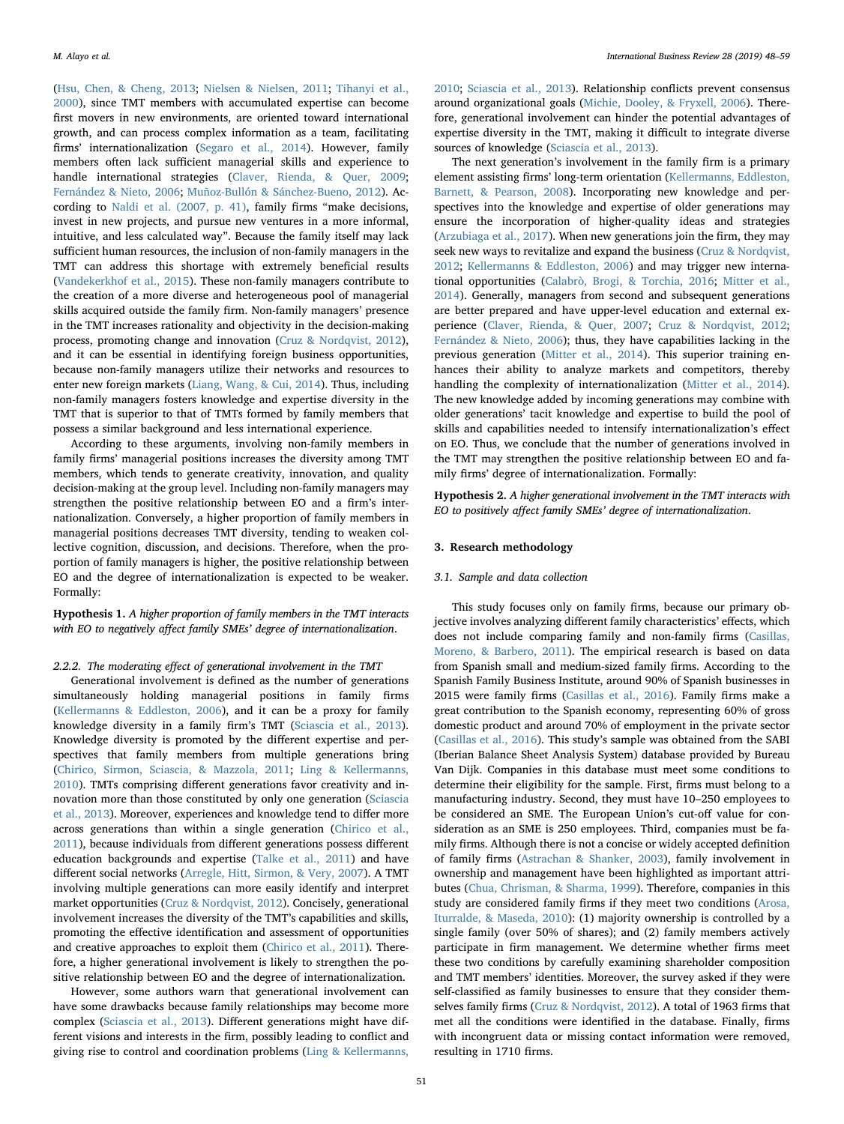([Hsu, Chen, & Cheng, 2013](#page-10-43); [Nielsen & Nielsen, 2011;](#page-11-12) [Tihanyi et al.,](#page-11-11) [2000\)](#page-11-11), since TMT members with accumulated expertise can become first movers in new environments, are oriented toward international growth, and can process complex information as a team, facilitating firms' internationalization [\(Segaro et al., 2014](#page-11-18)). However, family members often lack sufficient managerial skills and experience to handle international strategies [\(Claver, Rienda, & Quer, 2009](#page-10-44); [Fernández & Nieto, 2006](#page-10-7); [Muñoz-Bullón & Sánchez-Bueno, 2012](#page-11-34)). According to [Naldi et al. \(2007, p. 41\),](#page-11-2) family firms "make decisions, invest in new projects, and pursue new ventures in a more informal, intuitive, and less calculated way". Because the family itself may lack sufficient human resources, the inclusion of non-family managers in the TMT can address this shortage with extremely beneficial results ([Vandekerkhof et al., 2015\)](#page-11-14). These non-family managers contribute to the creation of a more diverse and heterogeneous pool of managerial skills acquired outside the family firm. Non-family managers' presence in the TMT increases rationality and objectivity in the decision-making process, promoting change and innovation [\(Cruz & Nordqvist, 2012](#page-10-40)), and it can be essential in identifying foreign business opportunities, because non-family managers utilize their networks and resources to enter new foreign markets ([Liang, Wang, & Cui, 2014](#page-11-35)). Thus, including non-family managers fosters knowledge and expertise diversity in the TMT that is superior to that of TMTs formed by family members that possess a similar background and less international experience.

According to these arguments, involving non-family members in family firms' managerial positions increases the diversity among TMT members, which tends to generate creativity, innovation, and quality decision-making at the group level. Including non-family managers may strengthen the positive relationship between EO and a firm's internationalization. Conversely, a higher proportion of family members in managerial positions decreases TMT diversity, tending to weaken collective cognition, discussion, and decisions. Therefore, when the proportion of family managers is higher, the positive relationship between EO and the degree of internationalization is expected to be weaker. Formally:

Hypothesis 1. A higher proportion of family members in the TMT interacts with EO to negatively affect family SMEs' degree of internationalization.

#### 2.2.2. The moderating effect of generational involvement in the TMT

Generational involvement is defined as the number of generations simultaneously holding managerial positions in family firms ([Kellermanns & Eddleston, 2006\)](#page-10-31), and it can be a proxy for family knowledge diversity in a family firm's TMT [\(Sciascia et al., 2013](#page-11-8)). Knowledge diversity is promoted by the different expertise and perspectives that family members from multiple generations bring ([Chirico, Sirmon, Sciascia, & Mazzola, 2011](#page-10-45); [Ling & Kellermanns,](#page-11-16) [2010\)](#page-11-16). TMTs comprising different generations favor creativity and innovation more than those constituted by only one generation ([Sciascia](#page-11-8) [et al., 2013](#page-11-8)). Moreover, experiences and knowledge tend to differ more across generations than within a single generation [\(Chirico et al.,](#page-10-45) [2011\)](#page-10-45), because individuals from different generations possess different education backgrounds and expertise ([Talke et al., 2011\)](#page-11-32) and have different social networks ([Arregle, Hitt, Sirmon, & Very, 2007\)](#page-9-9). A TMT involving multiple generations can more easily identify and interpret market opportunities ([Cruz & Nordqvist, 2012](#page-10-40)). Concisely, generational involvement increases the diversity of the TMT's capabilities and skills, promoting the effective identification and assessment of opportunities and creative approaches to exploit them [\(Chirico et al., 2011\)](#page-10-45). Therefore, a higher generational involvement is likely to strengthen the positive relationship between EO and the degree of internationalization.

However, some authors warn that generational involvement can have some drawbacks because family relationships may become more complex [\(Sciascia et al., 2013\)](#page-11-8). Different generations might have different visions and interests in the firm, possibly leading to conflict and giving rise to control and coordination problems [\(Ling & Kellermanns,](#page-11-16)

[2010;](#page-11-16) [Sciascia et al., 2013](#page-11-8)). Relationship conflicts prevent consensus around organizational goals [\(Michie, Dooley, & Fryxell, 2006\)](#page-11-36). Therefore, generational involvement can hinder the potential advantages of expertise diversity in the TMT, making it difficult to integrate diverse sources of knowledge ([Sciascia et al., 2013\)](#page-11-8).

The next generation's involvement in the family firm is a primary element assisting firms' long-term orientation [\(Kellermanns, Eddleston,](#page-10-46) [Barnett, & Pearson, 2008\)](#page-10-46). Incorporating new knowledge and perspectives into the knowledge and expertise of older generations may ensure the incorporation of higher-quality ideas and strategies ([Arzubiaga et al., 2017](#page-9-2)). When new generations join the firm, they may seek new ways to revitalize and expand the business ([Cruz & Nordqvist,](#page-10-40) [2012;](#page-10-40) [Kellermanns & Eddleston, 2006](#page-10-31)) and may trigger new international opportunities ([Calabrò, Brogi, & Torchia, 2016](#page-9-10); [Mitter et al.,](#page-11-17) [2014\)](#page-11-17). Generally, managers from second and subsequent generations are better prepared and have upper-level education and external experience [\(Claver, Rienda, & Quer, 2007;](#page-10-47) [Cruz & Nordqvist, 2012](#page-10-40); [Fernández & Nieto, 2006](#page-10-7)); thus, they have capabilities lacking in the previous generation [\(Mitter et al., 2014](#page-11-17)). This superior training enhances their ability to analyze markets and competitors, thereby handling the complexity of internationalization ([Mitter et al., 2014](#page-11-17)). The new knowledge added by incoming generations may combine with older generations' tacit knowledge and expertise to build the pool of skills and capabilities needed to intensify internationalization's effect on EO. Thus, we conclude that the number of generations involved in the TMT may strengthen the positive relationship between EO and family firms' degree of internationalization. Formally:

Hypothesis 2. A higher generational involvement in the TMT interacts with EO to positively affect family SMEs' degree of internationalization.

## 3. Research methodology

#### 3.1. Sample and data collection

This study focuses only on family firms, because our primary objective involves analyzing different family characteristics' effects, which does not include comparing family and non-family firms ([Casillas,](#page-10-48) [Moreno, & Barbero, 2011\)](#page-10-48). The empirical research is based on data from Spanish small and medium-sized family firms. According to the Spanish Family Business Institute, around 90% of Spanish businesses in 2015 were family firms ([Casillas et al., 2016\)](#page-10-22). Family firms make a great contribution to the Spanish economy, representing 60% of gross domestic product and around 70% of employment in the private sector ([Casillas et al., 2016](#page-10-22)). This study's sample was obtained from the SABI (Iberian Balance Sheet Analysis System) database provided by Bureau Van Dijk. Companies in this database must meet some conditions to determine their eligibility for the sample. First, firms must belong to a manufacturing industry. Second, they must have 10–250 employees to be considered an SME. The European Union's cut-off value for consideration as an SME is 250 employees. Third, companies must be family firms. Although there is not a concise or widely accepted definition of family firms ([Astrachan & Shanker, 2003](#page-9-11)), family involvement in ownership and management have been highlighted as important attributes ([Chua, Chrisman, & Sharma, 1999](#page-10-49)). Therefore, companies in this study are considered family firms if they meet two conditions [\(Arosa,](#page-9-12) [Iturralde, & Maseda, 2010\)](#page-9-12): (1) majority ownership is controlled by a single family (over 50% of shares); and (2) family members actively participate in firm management. We determine whether firms meet these two conditions by carefully examining shareholder composition and TMT members' identities. Moreover, the survey asked if they were self-classified as family businesses to ensure that they consider themselves family firms [\(Cruz & Nordqvist, 2012\)](#page-10-40). A total of 1963 firms that met all the conditions were identified in the database. Finally, firms with incongruent data or missing contact information were removed, resulting in 1710 firms.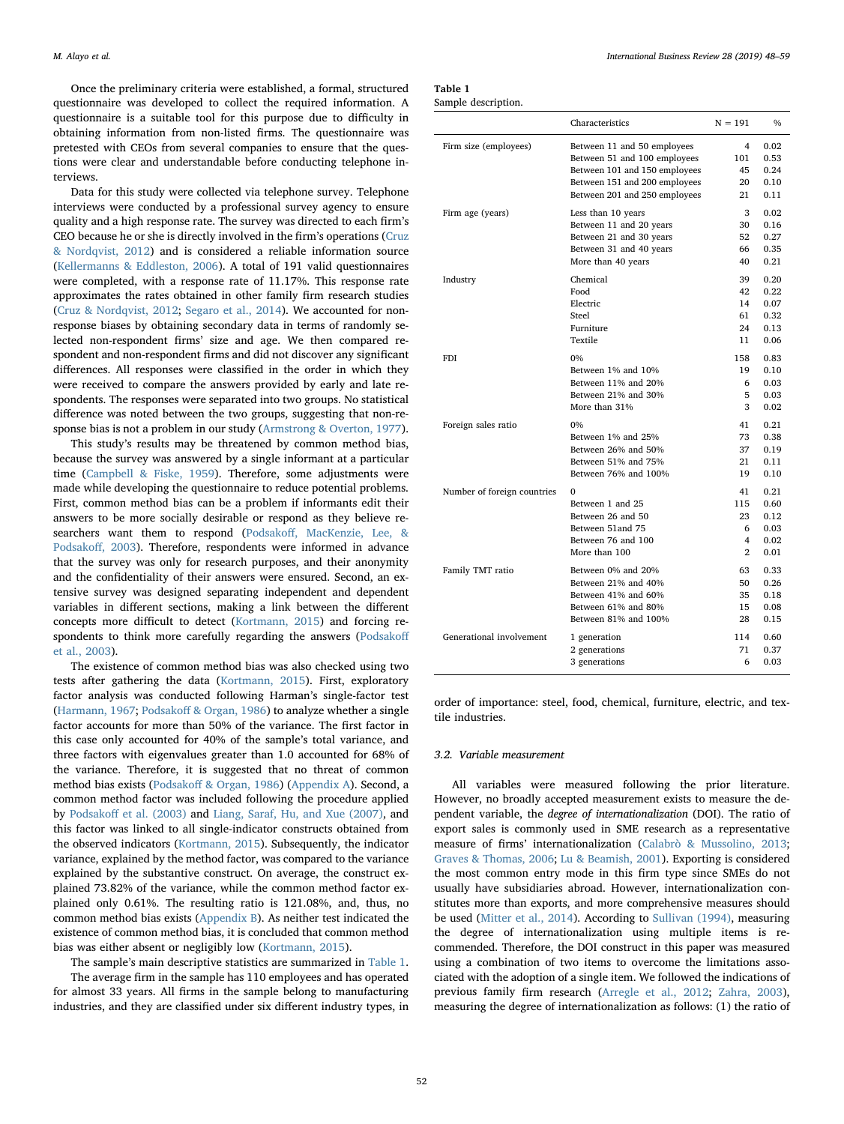Once the preliminary criteria were established, a formal, structured questionnaire was developed to collect the required information. A questionnaire is a suitable tool for this purpose due to difficulty in obtaining information from non-listed firms. The questionnaire was pretested with CEOs from several companies to ensure that the questions were clear and understandable before conducting telephone interviews.

Data for this study were collected via telephone survey. Telephone interviews were conducted by a professional survey agency to ensure quality and a high response rate. The survey was directed to each firm's CEO because he or she is directly involved in the firm's operations [\(Cruz](#page-10-40) [& Nordqvist, 2012\)](#page-10-40) and is considered a reliable information source ([Kellermanns & Eddleston, 2006](#page-10-31)). A total of 191 valid questionnaires were completed, with a response rate of 11.17%. This response rate approximates the rates obtained in other family firm research studies ([Cruz & Nordqvist, 2012;](#page-10-40) [Segaro et al., 2014\)](#page-11-18). We accounted for nonresponse biases by obtaining secondary data in terms of randomly selected non-respondent firms' size and age. We then compared respondent and non-respondent firms and did not discover any significant differences. All responses were classified in the order in which they were received to compare the answers provided by early and late respondents. The responses were separated into two groups. No statistical difference was noted between the two groups, suggesting that non-response bias is not a problem in our study ([Armstrong & Overton, 1977](#page-9-13)).

This study's results may be threatened by common method bias, because the survey was answered by a single informant at a particular time ([Campbell & Fiske, 1959](#page-10-50)). Therefore, some adjustments were made while developing the questionnaire to reduce potential problems. First, common method bias can be a problem if informants edit their answers to be more socially desirable or respond as they believe researchers want them to respond (Podsakoff[, MacKenzie, Lee, &](#page-11-37) [Podsako](#page-11-37)ff, 2003). Therefore, respondents were informed in advance that the survey was only for research purposes, and their anonymity and the confidentiality of their answers were ensured. Second, an extensive survey was designed separating independent and dependent variables in different sections, making a link between the different concepts more difficult to detect [\(Kortmann, 2015\)](#page-10-51) and forcing respondents to think more carefully regarding the answers [\(Podsako](#page-11-37)ff [et al., 2003](#page-11-37)).

The existence of common method bias was also checked using two tests after gathering the data ([Kortmann, 2015\)](#page-10-51). First, exploratory factor analysis was conducted following Harman's single-factor test ([Harmann, 1967;](#page-10-52) Podsakoff [& Organ, 1986](#page-11-38)) to analyze whether a single factor accounts for more than 50% of the variance. The first factor in this case only accounted for 40% of the sample's total variance, and three factors with eigenvalues greater than 1.0 accounted for 68% of the variance. Therefore, it is suggested that no threat of common method bias exists (Podsakoff [& Organ, 1986](#page-11-38)) ([Appendix A](#page-9-14)). Second, a common method factor was included following the procedure applied by Podsakoff [et al. \(2003\)](#page-11-37) and [Liang, Saraf, Hu, and Xue \(2007\)](#page-10-53), and this factor was linked to all single-indicator constructs obtained from the observed indicators ([Kortmann, 2015\)](#page-10-51). Subsequently, the indicator variance, explained by the method factor, was compared to the variance explained by the substantive construct. On average, the construct explained 73.82% of the variance, while the common method factor explained only 0.61%. The resulting ratio is 121.08%, and, thus, no common method bias exists ([Appendix B\)](#page-9-15). As neither test indicated the existence of common method bias, it is concluded that common method bias was either absent or negligibly low ([Kortmann, 2015](#page-10-51)).

The sample's main descriptive statistics are summarized in [Table 1](#page-4-0).

The average firm in the sample has 110 employees and has operated for almost 33 years. All firms in the sample belong to manufacturing industries, and they are classified under six different industry types, in

<span id="page-4-0"></span>

| Sample description. |  |
|---------------------|--|
|---------------------|--|

|                             | Characteristics               | $N = 191$ | $\frac{0}{0}$ |
|-----------------------------|-------------------------------|-----------|---------------|
| Firm size (employees)       | Between 11 and 50 employees   | 4         | 0.02          |
|                             | Between 51 and 100 employees  | 101       | 0.53          |
|                             | Between 101 and 150 employees | 45        | 0.24          |
|                             | Between 151 and 200 employees | 20        | 0.10          |
|                             | Between 201 and 250 employees | 21        | 0.11          |
| Firm age (years)            | Less than 10 years            | 3         | 0.02          |
|                             | Between 11 and 20 years       | 30        | 0.16          |
|                             | Between 21 and 30 years       | 52        | 0.27          |
|                             | Between 31 and 40 years       | 66        | 0.35          |
|                             | More than 40 years            | 40        | 0.21          |
| Industry                    | Chemical                      | 39        | 0.20          |
|                             | Food                          | 42        | 0.22          |
|                             | Electric                      | 14        | 0.07          |
|                             | <b>Steel</b>                  | 61        | 0.32          |
|                             | Furniture                     | 24        | 0.13          |
|                             | Textile                       | 11        | 0.06          |
| <b>FDI</b>                  | 0%                            | 158       | 0.83          |
|                             | Between 1% and 10%            | 19        | 0.10          |
|                             | Between 11% and 20%           | 6         | 0.03          |
|                             | Between 21% and 30%           | 5         | 0.03          |
|                             | More than 31%                 | 3         | 0.02          |
| Foreign sales ratio         | 0%                            | 41        | 0.21          |
|                             | Between 1% and 25%            | 73        | 0.38          |
|                             | Between 26% and 50%           | 37        | 0.19          |
|                             | Between 51% and 75%           | 21        | 0.11          |
|                             | Between 76% and 100%          | 19        | 0.10          |
| Number of foreign countries | $\Omega$                      | 41        | 0.21          |
|                             | Between 1 and 25              | 115       | 0.60          |
|                             | Between 26 and 50             | 23        | 0.12          |
|                             | Between 51 and 75             | 6         | 0.03          |
|                             | Between 76 and 100            | 4         | 0.02          |
|                             | More than 100                 | 2         | 0.01          |
| Family TMT ratio            | Between 0% and 20%            | 63        | 0.33          |
|                             | Between 21% and 40%           | 50        | 0.26          |
|                             | Between 41% and 60%           | 35        | 0.18          |
|                             | Between 61% and 80%           | 15        | 0.08          |
|                             | Between 81% and 100%          | 28        | 0.15          |
| Generational involvement    | 1 generation                  | 114       | 0.60          |
|                             | 2 generations                 | 71        | 0.37          |
|                             | 3 generations                 | 6         | 0.03          |

order of importance: steel, food, chemical, furniture, electric, and textile industries.

#### 3.2. Variable measurement

All variables were measured following the prior literature. However, no broadly accepted measurement exists to measure the dependent variable, the degree of internationalization (DOI). The ratio of export sales is commonly used in SME research as a representative measure of firms' internationalization [\(Calabrò & Mussolino, 2013](#page-9-16); [Graves & Thomas, 2006](#page-10-6); [Lu & Beamish, 2001](#page-11-21)). Exporting is considered the most common entry mode in this firm type since SMEs do not usually have subsidiaries abroad. However, internationalization constitutes more than exports, and more comprehensive measures should be used [\(Mitter et al., 2014\)](#page-11-17). According to [Sullivan \(1994\)](#page-11-39), measuring the degree of internationalization using multiple items is recommended. Therefore, the DOI construct in this paper was measured using a combination of two items to overcome the limitations associated with the adoption of a single item. We followed the indications of previous family firm research [\(Arregle et al., 2012](#page-9-1); [Zahra, 2003](#page-11-26)), measuring the degree of internationalization as follows: (1) the ratio of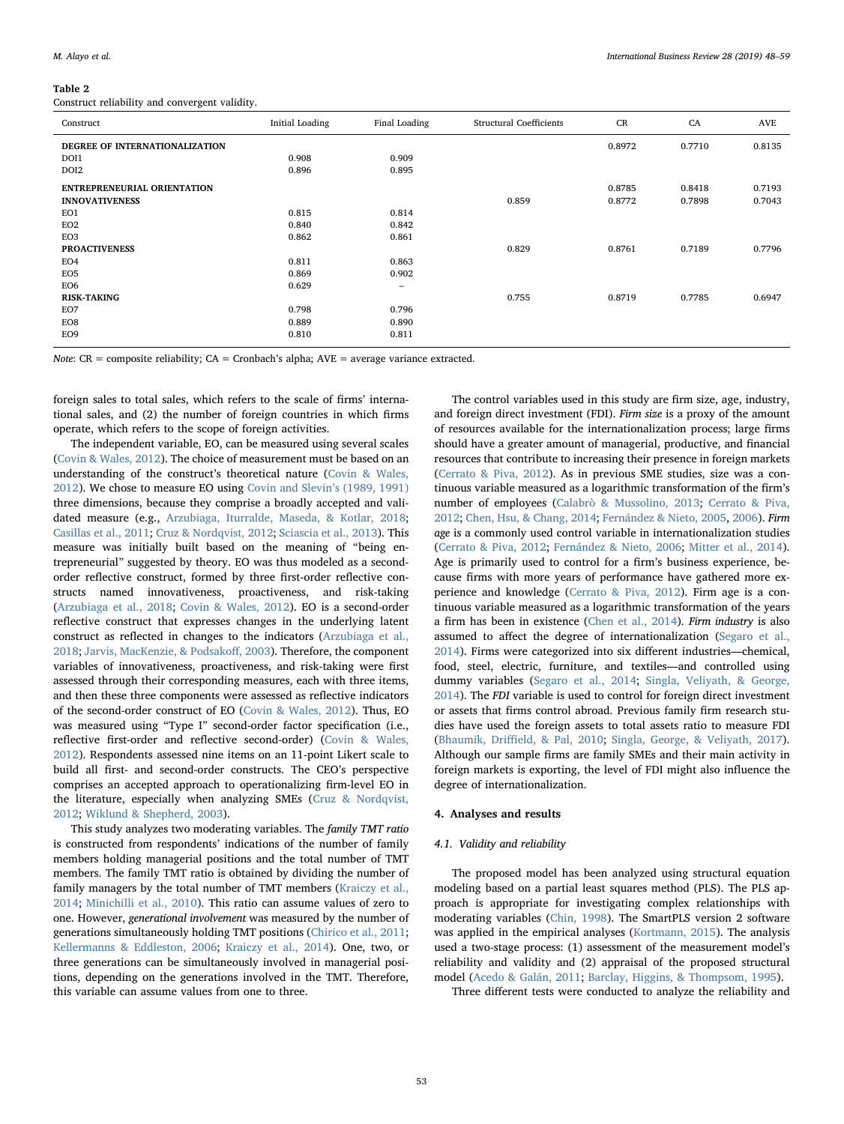#### <span id="page-5-0"></span>Table 2

Construct reliability and convergent validity.

| Construct                          | <b>Initial Loading</b> | Final Loading            | <b>Structural Coefficients</b> | CR     | CA     | AVE    |
|------------------------------------|------------------------|--------------------------|--------------------------------|--------|--------|--------|
| DEGREE OF INTERNATIONALIZATION     |                        |                          |                                | 0.8972 | 0.7710 | 0.8135 |
| DOI1                               | 0.908                  | 0.909                    |                                |        |        |        |
| DOI2                               | 0.896                  | 0.895                    |                                |        |        |        |
| <b>ENTREPRENEURIAL ORIENTATION</b> |                        |                          |                                | 0.8785 | 0.8418 | 0.7193 |
| <b>INNOVATIVENESS</b>              |                        |                          | 0.859                          | 0.8772 | 0.7898 | 0.7043 |
| EO1                                | 0.815                  | 0.814                    |                                |        |        |        |
| EO <sub>2</sub>                    | 0.840                  | 0.842                    |                                |        |        |        |
| EO <sub>3</sub>                    | 0.862                  | 0.861                    |                                |        |        |        |
| <b>PROACTIVENESS</b>               |                        |                          | 0.829                          | 0.8761 | 0.7189 | 0.7796 |
| EO4                                | 0.811                  | 0.863                    |                                |        |        |        |
| EO <sub>5</sub>                    | 0.869                  | 0.902                    |                                |        |        |        |
| EO6                                | 0.629                  | $\overline{\phantom{0}}$ |                                |        |        |        |
| <b>RISK-TAKING</b>                 |                        |                          | 0.755                          | 0.8719 | 0.7785 | 0.6947 |
| EO7                                | 0.798                  | 0.796                    |                                |        |        |        |
| EO8                                | 0.889                  | 0.890                    |                                |        |        |        |
| EO <sub>9</sub>                    | 0.810                  | 0.811                    |                                |        |        |        |
|                                    |                        |                          |                                |        |        |        |

Note:  $CR = composite reliability$ ;  $CA = Cronbach's alpha$ ;  $AVE = average variance extracted$ .

foreign sales to total sales, which refers to the scale of firms' international sales, and (2) the number of foreign countries in which firms operate, which refers to the scope of foreign activities.

The independent variable, EO, can be measured using several scales ([Covin & Wales, 2012](#page-10-25)). The choice of measurement must be based on an understanding of the construct's theoretical nature ([Covin & Wales,](#page-10-25) [2012\)](#page-10-25). We chose to measure EO using [Covin and Slevin](#page-10-54)'s (1989, 1991) three dimensions, because they comprise a broadly accepted and validated measure (e.g., [Arzubiaga, Iturralde, Maseda, & Kotlar, 2018](#page-9-17); [Casillas et al., 2011;](#page-10-48) [Cruz & Nordqvist, 2012;](#page-10-40) [Sciascia et al., 2013](#page-11-8)). This measure was initially built based on the meaning of "being entrepreneurial" suggested by theory. EO was thus modeled as a secondorder reflective construct, formed by three first-order reflective constructs named innovativeness, proactiveness, and risk-taking ([Arzubiaga et al., 2018;](#page-9-17) [Covin & Wales, 2012](#page-10-25)). EO is a second-order reflective construct that expresses changes in the underlying latent construct as reflected in changes to the indicators [\(Arzubiaga et al.,](#page-9-17) [2018;](#page-9-17) [Jarvis, MacKenzie, & Podsako](#page-10-55)ff, 2003). Therefore, the component variables of innovativeness, proactiveness, and risk-taking were first assessed through their corresponding measures, each with three items, and then these three components were assessed as reflective indicators of the second-order construct of EO ([Covin & Wales, 2012\)](#page-10-25). Thus, EO was measured using "Type I" second-order factor specification (i.e., reflective first-order and reflective second-order) [\(Covin & Wales,](#page-10-25) [2012\)](#page-10-25). Respondents assessed nine items on an 11-point Likert scale to build all first- and second-order constructs. The CEO's perspective comprises an accepted approach to operationalizing firm-level EO in the literature, especially when analyzing SMEs ([Cruz & Nordqvist,](#page-10-40) [2012;](#page-10-40) Wiklund [& Shepherd, 2003](#page-11-22)).

This study analyzes two moderating variables. The family TMT ratio is constructed from respondents' indications of the number of family members holding managerial positions and the total number of TMT members. The family TMT ratio is obtained by dividing the number of family managers by the total number of TMT members ([Kraiczy et al.,](#page-10-20) [2014;](#page-10-20) [Minichilli et al., 2010](#page-11-10)). This ratio can assume values of zero to one. However, generational involvement was measured by the number of generations simultaneously holding TMT positions [\(Chirico et al., 2011](#page-10-45); [Kellermanns & Eddleston, 2006](#page-10-31); [Kraiczy et al., 2014](#page-10-20)). One, two, or three generations can be simultaneously involved in managerial positions, depending on the generations involved in the TMT. Therefore, this variable can assume values from one to three.

The control variables used in this study are firm size, age, industry, and foreign direct investment (FDI). Firm size is a proxy of the amount of resources available for the internationalization process; large firms should have a greater amount of managerial, productive, and financial resources that contribute to increasing their presence in foreign markets ([Cerrato & Piva, 2012](#page-10-12)). As in previous SME studies, size was a continuous variable measured as a logarithmic transformation of the firm's number of employees ([Calabrò & Mussolino, 2013;](#page-9-16) [Cerrato & Piva,](#page-10-12) [2012;](#page-10-12) [Chen, Hsu, & Chang, 2014](#page-10-56); [Fernández & Nieto, 2005,](#page-10-32) [2006](#page-10-7)). Firm age is a commonly used control variable in internationalization studies ([Cerrato & Piva, 2012;](#page-10-12) [Fernández & Nieto, 2006](#page-10-7); [Mitter et al., 2014](#page-11-17)). Age is primarily used to control for a firm's business experience, because firms with more years of performance have gathered more experience and knowledge ([Cerrato & Piva, 2012](#page-10-12)). Firm age is a continuous variable measured as a logarithmic transformation of the years a firm has been in existence [\(Chen et al., 2014\)](#page-10-56). Firm industry is also assumed to affect the degree of internationalization ([Segaro et al.,](#page-11-18) [2014\)](#page-11-18). Firms were categorized into six different industries—chemical, food, steel, electric, furniture, and textiles—and controlled using dummy variables ([Segaro et al., 2014](#page-11-18); [Singla, Veliyath, & George,](#page-11-40) [2014\)](#page-11-40). The FDI variable is used to control for foreign direct investment or assets that firms control abroad. Previous family firm research studies have used the foreign assets to total assets ratio to measure FDI (Bhaumik, Driffi[eld, & Pal, 2010;](#page-9-18) [Singla, George, & Veliyath, 2017](#page-11-41)). Although our sample firms are family SMEs and their main activity in foreign markets is exporting, the level of FDI might also influence the degree of internationalization.

#### 4. Analyses and results

## 4.1. Validity and reliability

The proposed model has been analyzed using structural equation modeling based on a partial least squares method (PLS). The PLS approach is appropriate for investigating complex relationships with moderating variables [\(Chin, 1998](#page-10-57)). The SmartPLS version 2 software was applied in the empirical analyses [\(Kortmann, 2015](#page-10-51)). The analysis used a two-stage process: (1) assessment of the measurement model's reliability and validity and (2) appraisal of the proposed structural model [\(Acedo & Galán, 2011](#page-9-19); [Barclay, Higgins, & Thompsom, 1995](#page-9-20)).

Three different tests were conducted to analyze the reliability and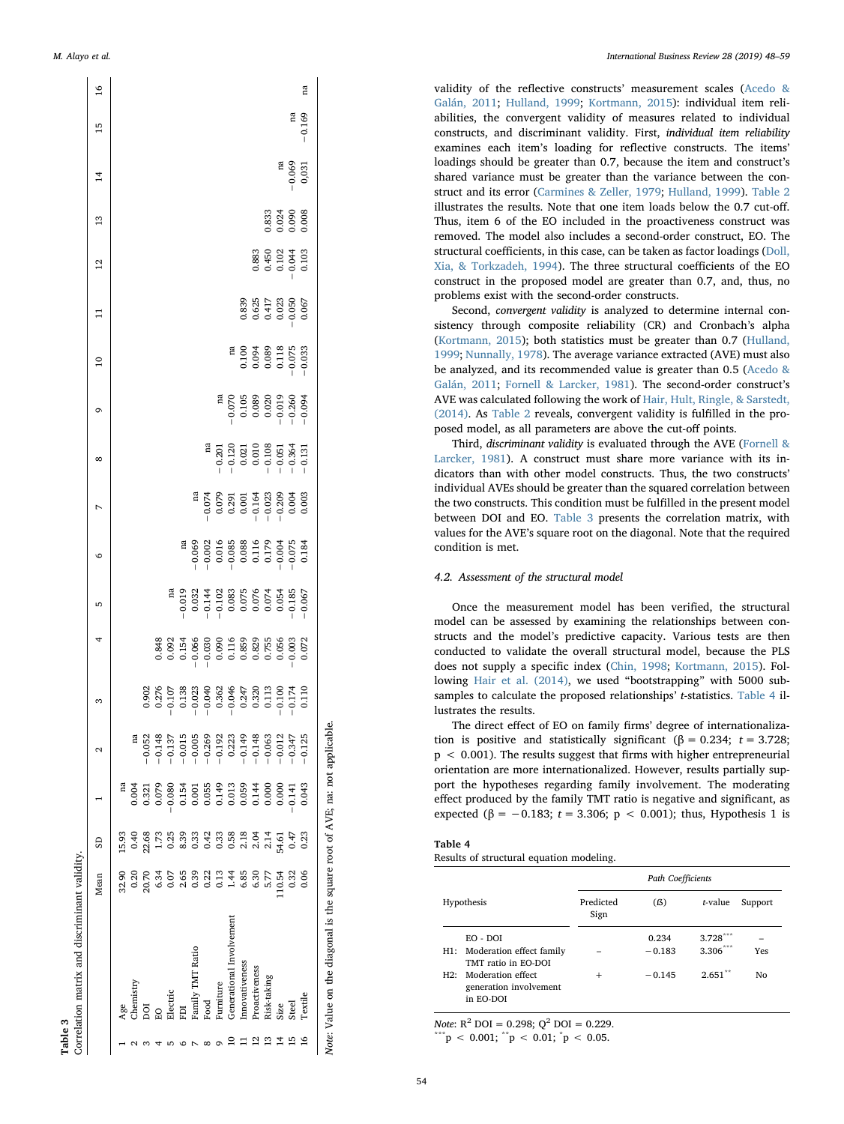<span id="page-6-0"></span>

| Correlation matrix and discriminant validity                               |               |                  |                                  |                                                                                                                                  |                                                                                                                                                                                                                                                                       |                                                                                                                                                                                                                                                                                                      |   |         |                                                                            |                                                                                                         |                                                      |                                                 |                                                                                   |                                           |                       |                    |          |                 |
|----------------------------------------------------------------------------|---------------|------------------|----------------------------------|----------------------------------------------------------------------------------------------------------------------------------|-----------------------------------------------------------------------------------------------------------------------------------------------------------------------------------------------------------------------------------------------------------------------|------------------------------------------------------------------------------------------------------------------------------------------------------------------------------------------------------------------------------------------------------------------------------------------------------|---|---------|----------------------------------------------------------------------------|---------------------------------------------------------------------------------------------------------|------------------------------------------------------|-------------------------------------------------|-----------------------------------------------------------------------------------|-------------------------------------------|-----------------------|--------------------|----------|-----------------|
|                                                                            | Mean          | G                |                                  | $\mathbf{\sim}$                                                                                                                  | S                                                                                                                                                                                                                                                                     | 4                                                                                                                                                                                                                                                                                                    | 5 | $\circ$ | N                                                                          | $\infty$                                                                                                | Ō                                                    | $\overline{10}$                                 | Ξ                                                                                 | 12                                        | 13                    | $\vec{a}$          | 15       | $\overline{16}$ |
| Age                                                                        | 32.90         | 15.93            |                                  |                                                                                                                                  |                                                                                                                                                                                                                                                                       |                                                                                                                                                                                                                                                                                                      |   |         |                                                                            |                                                                                                         |                                                      |                                                 |                                                                                   |                                           |                       |                    |          |                 |
| hemistry                                                                   | 0.20          | 0.40             | 0.004                            |                                                                                                                                  |                                                                                                                                                                                                                                                                       |                                                                                                                                                                                                                                                                                                      |   |         |                                                                            |                                                                                                         |                                                      |                                                 |                                                                                   |                                           |                       |                    |          |                 |
|                                                                            |               |                  | 0.321                            | $-0.052$                                                                                                                         |                                                                                                                                                                                                                                                                       |                                                                                                                                                                                                                                                                                                      |   |         |                                                                            |                                                                                                         |                                                      |                                                 |                                                                                   |                                           |                       |                    |          |                 |
|                                                                            | 20.70<br>6.34 | 22.68<br>1.73    | 0.079                            |                                                                                                                                  |                                                                                                                                                                                                                                                                       |                                                                                                                                                                                                                                                                                                      |   |         |                                                                            |                                                                                                         |                                                      |                                                 |                                                                                   |                                           |                       |                    |          |                 |
| ilectric                                                                   | 0.07          | 0.25             | 0.08C                            | $-0.148$ $-0.137$ $-0.0195$ $-0.269$ $-0.273$ $-0.273$ $-0.273$ $-0.273$ $-0.273$ $-0.273$ $-0.273$ $-0.274$ $-0.2747$ $-0.2747$ | $\begin{array}{c} 0.902\\ 0.276\\ 0.107\\ 0.103\\ 0.013\\ 0.023\\ 0.033\\ 0.033\\ 0.034\\ 0.036\\ 0.024\\ 0.030\\ 0.013\\ 0.013\\ 0.013\\ 0.013\\ 0.013\\ 0.013\\ 0.013\\ 0.013\\ 0.013\\ 0.013\\ 0.013\\ 0.013\\ 0.013\\ 0.013\\ 0.013\\ 0.013\\ 0.013\\ 0.013\\ 0.$ | $\begin{array}{r} 0.848 \\ 0.092 \\ 0.154 \\ 0.666 \\ 0.030 \\ -0.030 \\ 0.000 \\ 0.000 \\ 0.011 \\ 0.000 \\ 0.000 \\ 0.003 \\ 0.003 \\ 0.003 \\ 0.003 \\ 0.003 \\ 0.003 \\ 0.003 \\ 0.003 \\ 0.003 \\ 0.003 \\ 0.003 \\ 0.003 \\ 0.003 \\ 0.003 \\ 0.003 \\ 0.003 \\ 0.003 \\ 0.003 \\ 0.003 \\ 0.$ |   |         |                                                                            |                                                                                                         |                                                      |                                                 |                                                                                   |                                           |                       |                    |          |                 |
|                                                                            |               | 8.39             | 0.154                            |                                                                                                                                  |                                                                                                                                                                                                                                                                       |                                                                                                                                                                                                                                                                                                      |   |         |                                                                            |                                                                                                         |                                                      |                                                 |                                                                                   |                                           |                       |                    |          |                 |
| Family TMT Ratio                                                           | 3.8<br>2.9    | 0.33             | 0.001                            |                                                                                                                                  |                                                                                                                                                                                                                                                                       |                                                                                                                                                                                                                                                                                                      |   |         |                                                                            |                                                                                                         |                                                      |                                                 |                                                                                   |                                           |                       |                    |          |                 |
| Food                                                                       | 0.22          | 0.42             |                                  |                                                                                                                                  |                                                                                                                                                                                                                                                                       |                                                                                                                                                                                                                                                                                                      |   |         | m<br>10.074<br>0.075<br>0.000<br>0.000<br>0.000<br>0.000<br>0.000<br>0.000 |                                                                                                         |                                                      |                                                 |                                                                                   |                                           |                       |                    |          |                 |
| Furniture                                                                  | 0.13          | 0.33             | 0.055<br>0.149<br>0.013<br>0.059 |                                                                                                                                  |                                                                                                                                                                                                                                                                       |                                                                                                                                                                                                                                                                                                      |   |         |                                                                            |                                                                                                         |                                                      |                                                 |                                                                                   |                                           |                       |                    |          |                 |
| Generational Involvement                                                   | 1.44          | 0.58             |                                  |                                                                                                                                  |                                                                                                                                                                                                                                                                       |                                                                                                                                                                                                                                                                                                      |   |         |                                                                            |                                                                                                         |                                                      |                                                 |                                                                                   |                                           |                       |                    |          |                 |
| Innovativeness                                                             | 6.85          |                  |                                  |                                                                                                                                  |                                                                                                                                                                                                                                                                       |                                                                                                                                                                                                                                                                                                      |   |         |                                                                            |                                                                                                         |                                                      |                                                 |                                                                                   |                                           |                       |                    |          |                 |
| Proactiveness                                                              | 6.30          | $2.18$<br>$2.04$ |                                  |                                                                                                                                  |                                                                                                                                                                                                                                                                       |                                                                                                                                                                                                                                                                                                      |   |         |                                                                            |                                                                                                         |                                                      |                                                 |                                                                                   |                                           |                       |                    |          |                 |
| Risk-taking                                                                | 5.77          | 2.14             | 0.144<br>0.00C                   |                                                                                                                                  |                                                                                                                                                                                                                                                                       |                                                                                                                                                                                                                                                                                                      |   |         |                                                                            |                                                                                                         |                                                      |                                                 |                                                                                   |                                           |                       |                    |          |                 |
| Size                                                                       | .10.54        | 54.61<br>0.47    |                                  |                                                                                                                                  |                                                                                                                                                                                                                                                                       |                                                                                                                                                                                                                                                                                                      |   |         |                                                                            | $-0.201$<br>$-0.120$<br>$-0.120$<br>$0.021$<br>$-0.010$<br>$-0.108$<br>$-0.108$<br>$-0.051$<br>$-0.364$ | na<br>10.070<br>10.0890<br>10.020<br>10.020 − 10.260 | ma<br>0.100<br>0.094<br>0.089<br>0.075<br>0.075 | $\begin{array}{c} 0.839 \\ 0.625 \\ 0.417 \\ 0.023 \\ 0.050 \\ 0.067 \end{array}$ | 0.883<br>0.450<br>0.102<br>0.103<br>0.103 | 833<br>0.024<br>0.000 |                    |          |                 |
| Steel                                                                      | 0.32          |                  | 0.141                            |                                                                                                                                  |                                                                                                                                                                                                                                                                       |                                                                                                                                                                                                                                                                                                      |   |         |                                                                            |                                                                                                         |                                                      |                                                 |                                                                                   |                                           |                       | $180,000$<br>0,069 | m        |                 |
| <b>Textile</b>                                                             | 0.06          | 0.23             | 0.043                            | $-0.125$                                                                                                                         | 0.110                                                                                                                                                                                                                                                                 |                                                                                                                                                                                                                                                                                                      |   |         |                                                                            |                                                                                                         |                                                      |                                                 |                                                                                   |                                           |                       |                    | $-0.169$ | na              |
|                                                                            |               |                  |                                  |                                                                                                                                  |                                                                                                                                                                                                                                                                       |                                                                                                                                                                                                                                                                                                      |   |         |                                                                            |                                                                                                         |                                                      |                                                 |                                                                                   |                                           |                       |                    |          |                 |
| Note: Value on the diagonal is the square root of AVE; na: not applicable. |               |                  |                                  |                                                                                                                                  |                                                                                                                                                                                                                                                                       |                                                                                                                                                                                                                                                                                                      |   |         |                                                                            |                                                                                                         |                                                      |                                                 |                                                                                   |                                           |                       |                    |          |                 |

M. Alayo et al. *International Business Review 28 (2019) 48–59*

validity of the re flective constructs ' measurement scales ([Acedo &](#page-9-19) [Galán, 2011](#page-9-19) ; [Hulland, 1999](#page-10-58) ; [Kortmann, 2015\)](#page-10-51): individual item reliabilities, the convergent validity of measures related to individual constructs, and discriminant validity. First, individual item reliability examines each item 's loading for re flective constructs. The items ' loadings should be greater than 0.7, because the item and construct's shared variance must be greater than the variance between the construct and its error ([Carmines & Zeller, 1979;](#page-10-59) [Hulland, 1999\)](#page-10-58). [Table 2](#page-5-0) illustrates the results. Note that one item loads below the 0.7 cut-o ff . Thus, item 6 of the EO included in the proactiveness construct was removed. The model also includes a second-order construct, EO. The structural coe fficients, in this case, can be taken as factor loadings ([Doll,](#page-10-60) [Xia, & Torkzadeh, 1994\)](#page-10-60). The three structural coe fficients of the EO construct in the proposed model are greater than 0.7, and, thus, no problems exist with the second-order constructs.

Second, convergent validity is analyzed to determine internal consistency through composite reliability (CR) and Cronbach's alpha ([Kortmann, 2015](#page-10-51)); both statistics must be greater than 0.7 [\(Hulland,](#page-10-58) [1999](#page-10-58) ; [Nunnally, 1978](#page-11-42)). The average variance extracted (AVE) must also be analyzed, and its recommended value is greater than 0.5 [\(Acedo &](#page-9-19) [Galán, 2011](#page-9-19); [Fornell & Larcker, 1981\)](#page-10-61). The second-order construct's AVE was calculated following the work of [Hair, Hult, Ringle, & Sarstedt,](#page-10-62) [\(2014\).](#page-10-62) As [Table 2](#page-5-0) reveals, convergent validity is ful filled in the proposed model, as all parameters are above the cut-off points.

Third, discriminant validity is evaluated through the AVE ([Fornell &](#page-10-61) [Larcker, 1981\)](#page-10-61). A construct must share more variance with its indicators than with other model constructs. Thus, the two constructs' individual AVEs should be greater than the squared correlation between the two constructs. This condition must be ful filled in the present model between DOI and EO. [Table 3](#page-6-0) presents the correlation matrix, with values for the AVE 's square root on the diagonal. Note that the required condition is met.

## 4.2. Assessment of the structural model

Once the measurement model has been veri fied, the structural model can be assessed by examining the relationships between constructs and the model's predictive capacity. Various tests are then conducted to validate the overall structural model, because the PLS does not supply a specific index ([Chin, 1998](#page-10-57); [Kortmann, 2015](#page-10-51)). Following [Hair et al. \(2014\)](#page-10-62), we used "bootstrapping" with 5000 subsamples to calculate the proposed relationships' t-statistics. [Table 4](#page-6-1) illustrates the results.

The direct e ffect of EO on family firms ' degree of internationalization is positive and statistically significant ( $\beta = 0.234$ ;  $t = 3.728$ ; p < 0.001). The results suggest that firms with higher entrepreneurial orientation are more internationalized. However, results partially support the hypotheses regarding family involvement. The moderating effect produced by the family TMT ratio is negative and significant, as expected (β = -0.183; t = 3.306; p < 0.001); thus, Hypothesis 1 is

<span id="page-6-1"></span>

| Table 4 |  |  |  |
|---------|--|--|--|
|         |  |  |  |

| Results of structural equation modeling. |  |  |
|------------------------------------------|--|--|
|------------------------------------------|--|--|

|                                                              |                   | Path Coefficients |            |         |
|--------------------------------------------------------------|-------------------|-------------------|------------|---------|
| Hypothesis                                                   | Predicted<br>Sign | $(\mathcal{B})$   | t-value    | Support |
| EO - DOI                                                     |                   | 0.234             | 3.728      |         |
| H1: Moderation effect family<br>TMT ratio in EO-DOI          |                   | $-0.183$          | $3.306***$ | Yes     |
| H2: Moderation effect<br>generation involvement<br>in EO-DOI | $\ddot{}$         | $-0.145$          | $2.651**$  | No      |

Note:  $R^2$  DOI = 0.298;  $Q^2$  DOI = 0.229.

\*\*\*p < 0.001;  $*^{*}p$  < 0.01;  $*^{*}p$  < 0.05.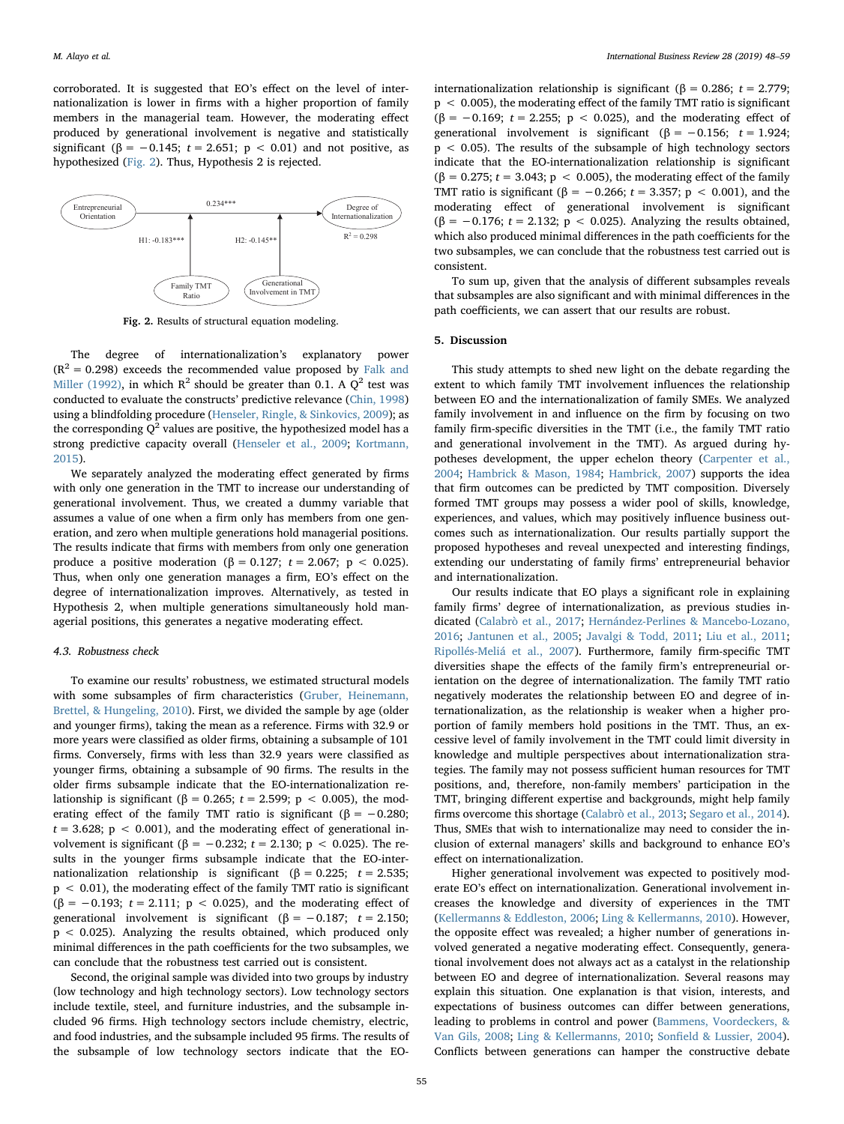corroborated. It is suggested that EO's effect on the level of internationalization is lower in firms with a higher proportion of family members in the managerial team. However, the moderating effect produced by generational involvement is negative and statistically significant ( $\beta$  = -0.145; t = 2.651; p < 0.01) and not positive, as hypothesized ([Fig. 2\)](#page-7-0). Thus, Hypothesis 2 is rejected.

<span id="page-7-0"></span>

Fig. 2. Results of structural equation modeling.

The degree of internationalization's explanatory power  $(R<sup>2</sup> = 0.298)$  exceeds the recommended value proposed by [Falk and](#page-10-63) [Miller \(1992\),](#page-10-63) in which  $R^2$  should be greater than 0.1. A  $Q^2$  test was conducted to evaluate the constructs' predictive relevance ([Chin, 1998\)](#page-10-57) using a blindfolding procedure ([Henseler, Ringle, & Sinkovics, 2009](#page-10-64)); as the corresponding  $Q^2$  values are positive, the hypothesized model has a strong predictive capacity overall [\(Henseler et al., 2009](#page-10-64); [Kortmann,](#page-10-51) [2015\)](#page-10-51).

We separately analyzed the moderating effect generated by firms with only one generation in the TMT to increase our understanding of generational involvement. Thus, we created a dummy variable that assumes a value of one when a firm only has members from one generation, and zero when multiple generations hold managerial positions. The results indicate that firms with members from only one generation produce a positive moderation ( $\beta = 0.127$ ;  $t = 2.067$ ;  $p < 0.025$ ). Thus, when only one generation manages a firm, EO's effect on the degree of internationalization improves. Alternatively, as tested in Hypothesis 2, when multiple generations simultaneously hold managerial positions, this generates a negative moderating effect.

## 4.3. Robustness check

To examine our results' robustness, we estimated structural models with some subsamples of firm characteristics [\(Gruber, Heinemann,](#page-10-65) [Brettel, & Hungeling, 2010\)](#page-10-65). First, we divided the sample by age (older and younger firms), taking the mean as a reference. Firms with 32.9 or more years were classified as older firms, obtaining a subsample of 101 firms. Conversely, firms with less than 32.9 years were classified as younger firms, obtaining a subsample of 90 firms. The results in the older firms subsample indicate that the EO-internationalization relationship is significant ( $\beta = 0.265$ ;  $t = 2.599$ ;  $p < 0.005$ ), the moderating effect of the family TMT ratio is significant ( $\beta = -0.280$ ;  $t = 3.628$ ;  $p < 0.001$ ), and the moderating effect of generational involvement is significant (β = -0.232; t = 2.130; p < 0.025). The results in the younger firms subsample indicate that the EO-internationalization relationship is significant (β = 0.225;  $t = 2.535$ ;  $p < 0.01$ ), the moderating effect of the family TMT ratio is significant ( $\beta$  = −0.193; t = 2.111; p < 0.025), and the moderating effect of generational involvement is significant ( $\beta = -0.187$ ;  $t = 2.150$ ; p < 0.025). Analyzing the results obtained, which produced only minimal differences in the path coefficients for the two subsamples, we can conclude that the robustness test carried out is consistent.

Second, the original sample was divided into two groups by industry (low technology and high technology sectors). Low technology sectors include textile, steel, and furniture industries, and the subsample included 96 firms. High technology sectors include chemistry, electric, and food industries, and the subsample included 95 firms. The results of the subsample of low technology sectors indicate that the EO-

internationalization relationship is significant (β = 0.286;  $t = 2.779$ ;  $p < 0.005$ ), the moderating effect of the family TMT ratio is significant ( $\beta$  = -0.169; t = 2.255; p < 0.025), and the moderating effect of generational involvement is significant ( $\beta = -0.156$ ;  $t = 1.924$ ;  $p < 0.05$ ). The results of the subsample of high technology sectors indicate that the EO-internationalization relationship is significant ( $\beta$  = 0.275; t = 3.043; p < 0.005), the moderating effect of the family TMT ratio is significant ( $\beta$  = -0.266; t = 3.357; p < 0.001), and the moderating effect of generational involvement is significant  $(β = -0.176$ ;  $t = 2.132$ ;  $p < 0.025$ ). Analyzing the results obtained, which also produced minimal differences in the path coefficients for the two subsamples, we can conclude that the robustness test carried out is consistent.

To sum up, given that the analysis of different subsamples reveals that subsamples are also significant and with minimal differences in the path coefficients, we can assert that our results are robust.

## 5. Discussion

This study attempts to shed new light on the debate regarding the extent to which family TMT involvement influences the relationship between EO and the internationalization of family SMEs. We analyzed family involvement in and influence on the firm by focusing on two family firm-specific diversities in the TMT (i.e., the family TMT ratio and generational involvement in the TMT). As argued during hypotheses development, the upper echelon theory [\(Carpenter et al.,](#page-10-15) [2004;](#page-10-15) [Hambrick & Mason, 1984](#page-10-16); [Hambrick, 2007](#page-10-17)) supports the idea that firm outcomes can be predicted by TMT composition. Diversely formed TMT groups may possess a wider pool of skills, knowledge, experiences, and values, which may positively influence business outcomes such as internationalization. Our results partially support the proposed hypotheses and reveal unexpected and interesting findings, extending our understating of family firms' entrepreneurial behavior and internationalization.

Our results indicate that EO plays a significant role in explaining family firms' degree of internationalization, as previous studies indicated [\(Calabrò et al., 2017](#page-10-2); [Hernández-Perlines & Mancebo-Lozano,](#page-10-3) [2016;](#page-10-3) [Jantunen et al., 2005](#page-10-0); [Javalgi & Todd, 2011](#page-10-1); [Liu et al., 2011](#page-11-0); [Ripollés-Meliá et al., 2007\)](#page-11-1). Furthermore, family firm-specific TMT diversities shape the effects of the family firm's entrepreneurial orientation on the degree of internationalization. The family TMT ratio negatively moderates the relationship between EO and degree of internationalization, as the relationship is weaker when a higher proportion of family members hold positions in the TMT. Thus, an excessive level of family involvement in the TMT could limit diversity in knowledge and multiple perspectives about internationalization strategies. The family may not possess sufficient human resources for TMT positions, and, therefore, non-family members' participation in the TMT, bringing different expertise and backgrounds, might help family firms overcome this shortage [\(Calabrò et al., 2013;](#page-10-11) [Segaro et al., 2014](#page-11-18)). Thus, SMEs that wish to internationalize may need to consider the inclusion of external managers' skills and background to enhance EO's effect on internationalization.

Higher generational involvement was expected to positively moderate EO's effect on internationalization. Generational involvement increases the knowledge and diversity of experiences in the TMT ([Kellermanns & Eddleston, 2006](#page-10-31); [Ling & Kellermanns, 2010](#page-11-16)). However, the opposite effect was revealed; a higher number of generations involved generated a negative moderating effect. Consequently, generational involvement does not always act as a catalyst in the relationship between EO and degree of internationalization. Several reasons may explain this situation. One explanation is that vision, interests, and expectations of business outcomes can differ between generations, leading to problems in control and power ([Bammens, Voordeckers, &](#page-9-21) [Van Gils, 2008](#page-9-21); [Ling & Kellermanns, 2010](#page-11-16); Sonfi[eld & Lussier, 2004](#page-11-43)). Conflicts between generations can hamper the constructive debate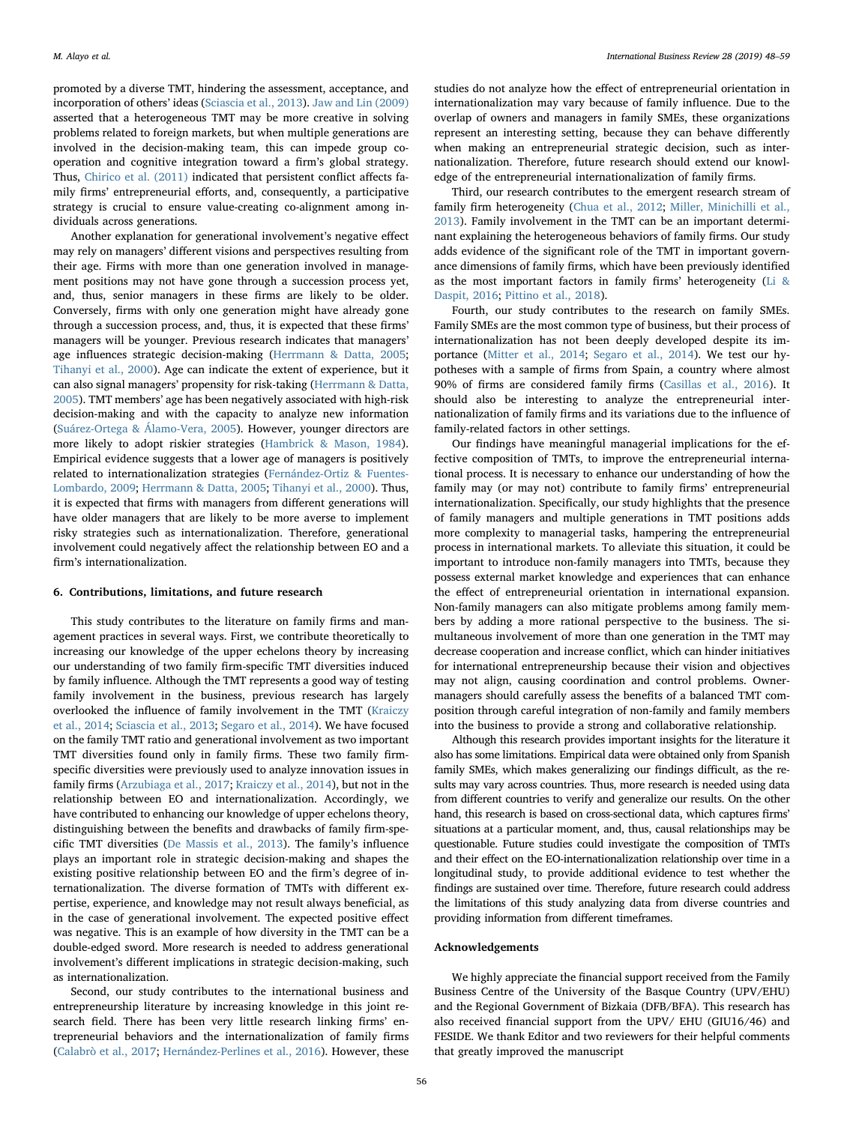promoted by a diverse TMT, hindering the assessment, acceptance, and incorporation of others' ideas ([Sciascia et al., 2013\)](#page-11-8). [Jaw and Lin \(2009\)](#page-10-37) asserted that a heterogeneous TMT may be more creative in solving problems related to foreign markets, but when multiple generations are involved in the decision-making team, this can impede group cooperation and cognitive integration toward a firm's global strategy. Thus, [Chirico et al. \(2011\)](#page-10-45) indicated that persistent conflict affects family firms' entrepreneurial efforts, and, consequently, a participative strategy is crucial to ensure value-creating co-alignment among individuals across generations.

Another explanation for generational involvement's negative effect may rely on managers' different visions and perspectives resulting from their age. Firms with more than one generation involved in management positions may not have gone through a succession process yet, and, thus, senior managers in these firms are likely to be older. Conversely, firms with only one generation might have already gone through a succession process, and, thus, it is expected that these firms' managers will be younger. Previous research indicates that managers' age influences strategic decision-making [\(Herrmann & Datta, 2005](#page-10-66); [Tihanyi et al., 2000](#page-11-11)). Age can indicate the extent of experience, but it can also signal managers' propensity for risk-taking ([Herrmann & Datta,](#page-10-66) [2005\)](#page-10-66). TMT members' age has been negatively associated with high-risk decision-making and with the capacity to analyze new information ([Suárez-Ortega & Álamo-Vera, 2005\)](#page-11-44). However, younger directors are more likely to adopt riskier strategies [\(Hambrick & Mason, 1984](#page-10-16)). Empirical evidence suggests that a lower age of managers is positively related to internationalization strategies ([Fernández-Ortiz & Fuentes-](#page-10-67)[Lombardo, 2009;](#page-10-67) [Herrmann & Datta, 2005;](#page-10-66) [Tihanyi et al., 2000\)](#page-11-11). Thus, it is expected that firms with managers from different generations will have older managers that are likely to be more averse to implement risky strategies such as internationalization. Therefore, generational involvement could negatively affect the relationship between EO and a firm's internationalization.

## 6. Contributions, limitations, and future research

This study contributes to the literature on family firms and management practices in several ways. First, we contribute theoretically to increasing our knowledge of the upper echelons theory by increasing our understanding of two family firm-specific TMT diversities induced by family influence. Although the TMT represents a good way of testing family involvement in the business, previous research has largely overlooked the influence of family involvement in the TMT [\(Kraiczy](#page-10-20) [et al., 2014](#page-10-20); [Sciascia et al., 2013;](#page-11-8) [Segaro et al., 2014\)](#page-11-18). We have focused on the family TMT ratio and generational involvement as two important TMT diversities found only in family firms. These two family firmspecific diversities were previously used to analyze innovation issues in family firms [\(Arzubiaga et al., 2017](#page-9-2); [Kraiczy et al., 2014](#page-10-20)), but not in the relationship between EO and internationalization. Accordingly, we have contributed to enhancing our knowledge of upper echelons theory, distinguishing between the benefits and drawbacks of family firm-specific TMT diversities [\(De Massis et al., 2013\)](#page-10-21). The family's influence plays an important role in strategic decision-making and shapes the existing positive relationship between EO and the firm's degree of internationalization. The diverse formation of TMTs with different expertise, experience, and knowledge may not result always beneficial, as in the case of generational involvement. The expected positive effect was negative. This is an example of how diversity in the TMT can be a double-edged sword. More research is needed to address generational involvement's different implications in strategic decision-making, such as internationalization.

Second, our study contributes to the international business and entrepreneurship literature by increasing knowledge in this joint research field. There has been very little research linking firms' entrepreneurial behaviors and the internationalization of family firms ([Calabrò et al., 2017;](#page-10-2) [Hernández-Perlines et al., 2016](#page-10-4)). However, these

studies do not analyze how the effect of entrepreneurial orientation in internationalization may vary because of family influence. Due to the overlap of owners and managers in family SMEs, these organizations represent an interesting setting, because they can behave differently when making an entrepreneurial strategic decision, such as internationalization. Therefore, future research should extend our knowledge of the entrepreneurial internationalization of family firms.

Third, our research contributes to the emergent research stream of family firm heterogeneity ([Chua et al., 2012;](#page-10-23) [Miller, Minichilli et al.,](#page-11-19) [2013\)](#page-11-19). Family involvement in the TMT can be an important determinant explaining the heterogeneous behaviors of family firms. Our study adds evidence of the significant role of the TMT in important governance dimensions of family firms, which have been previously identified as the most important factors in family firms' heterogeneity [\(Li &](#page-10-24) [Daspit, 2016;](#page-10-24) [Pittino et al., 2018\)](#page-11-20).

Fourth, our study contributes to the research on family SMEs. Family SMEs are the most common type of business, but their process of internationalization has not been deeply developed despite its importance [\(Mitter et al., 2014](#page-11-17); [Segaro et al., 2014\)](#page-11-18). We test our hypotheses with a sample of firms from Spain, a country where almost 90% of firms are considered family firms ([Casillas et al., 2016](#page-10-22)). It should also be interesting to analyze the entrepreneurial internationalization of family firms and its variations due to the influence of family-related factors in other settings.

Our findings have meaningful managerial implications for the effective composition of TMTs, to improve the entrepreneurial international process. It is necessary to enhance our understanding of how the family may (or may not) contribute to family firms' entrepreneurial internationalization. Specifically, our study highlights that the presence of family managers and multiple generations in TMT positions adds more complexity to managerial tasks, hampering the entrepreneurial process in international markets. To alleviate this situation, it could be important to introduce non-family managers into TMTs, because they possess external market knowledge and experiences that can enhance the effect of entrepreneurial orientation in international expansion. Non-family managers can also mitigate problems among family members by adding a more rational perspective to the business. The simultaneous involvement of more than one generation in the TMT may decrease cooperation and increase conflict, which can hinder initiatives for international entrepreneurship because their vision and objectives may not align, causing coordination and control problems. Ownermanagers should carefully assess the benefits of a balanced TMT composition through careful integration of non-family and family members into the business to provide a strong and collaborative relationship.

Although this research provides important insights for the literature it also has some limitations. Empirical data were obtained only from Spanish family SMEs, which makes generalizing our findings difficult, as the results may vary across countries. Thus, more research is needed using data from different countries to verify and generalize our results. On the other hand, this research is based on cross-sectional data, which captures firms' situations at a particular moment, and, thus, causal relationships may be questionable. Future studies could investigate the composition of TMTs and their effect on the EO-internationalization relationship over time in a longitudinal study, to provide additional evidence to test whether the findings are sustained over time. Therefore, future research could address the limitations of this study analyzing data from diverse countries and providing information from different timeframes.

## Acknowledgements

We highly appreciate the financial support received from the Family Business Centre of the University of the Basque Country (UPV/EHU) and the Regional Government of Bizkaia (DFB/BFA). This research has also received financial support from the UPV/ EHU (GIU16/46) and FESIDE. We thank Editor and two reviewers for their helpful comments that greatly improved the manuscript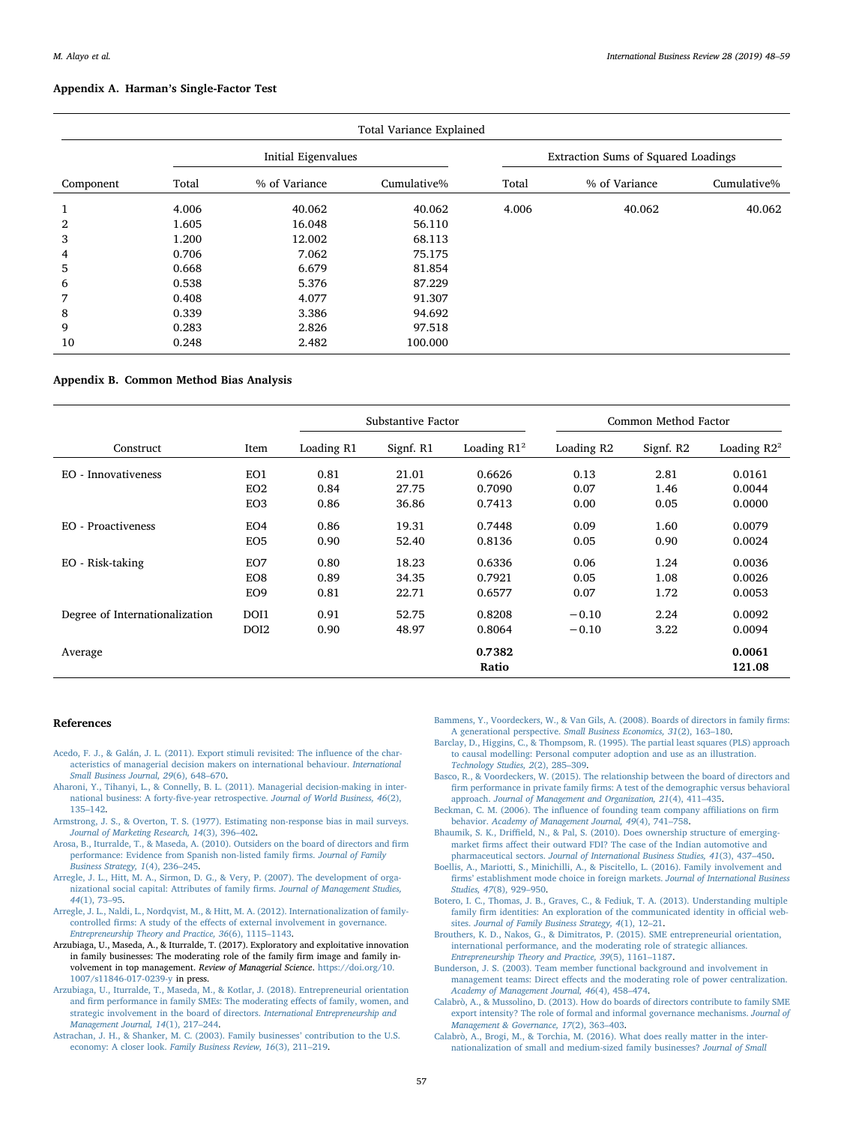#### <span id="page-9-14"></span>Appendix A. Harman's Single-Factor Test

|           | <b>Total Variance Explained</b> |                     |             |                                     |               |             |  |  |  |  |
|-----------|---------------------------------|---------------------|-------------|-------------------------------------|---------------|-------------|--|--|--|--|
|           |                                 | Initial Eigenvalues |             | Extraction Sums of Squared Loadings |               |             |  |  |  |  |
| Component | Total                           | % of Variance       | Cumulative% | Total                               | % of Variance | Cumulative% |  |  |  |  |
| Ŧ         | 4.006                           | 40.062              | 40.062      | 4.006                               | 40.062        | 40.062      |  |  |  |  |
| 2         | 1.605                           | 16.048              | 56.110      |                                     |               |             |  |  |  |  |
| 3         | 1.200                           | 12.002              | 68.113      |                                     |               |             |  |  |  |  |
| 4         | 0.706                           | 7.062               | 75.175      |                                     |               |             |  |  |  |  |
| 5         | 0.668                           | 6.679               | 81.854      |                                     |               |             |  |  |  |  |
| 6         | 0.538                           | 5.376               | 87.229      |                                     |               |             |  |  |  |  |
| 7         | 0.408                           | 4.077               | 91.307      |                                     |               |             |  |  |  |  |
| 8         | 0.339                           | 3.386               | 94.692      |                                     |               |             |  |  |  |  |
| 9         | 0.283                           | 2.826               | 97.518      |                                     |               |             |  |  |  |  |
| 10        | 0.248                           | 2.482               | 100.000     |                                     |               |             |  |  |  |  |

## <span id="page-9-15"></span>Appendix B. Common Method Bias Analysis

|                                |                  |            | Substantive Factor |               | Common Method Factor   |           |               |  |
|--------------------------------|------------------|------------|--------------------|---------------|------------------------|-----------|---------------|--|
| Construct                      | Item             | Loading R1 | Signf. R1          | Loading $R12$ | Loading R <sub>2</sub> | Signf. R2 | Loading $R22$ |  |
| EO - Innovativeness            | EO1              | 0.81       | 21.01              | 0.6626        | 0.13                   | 2.81      | 0.0161        |  |
|                                | EO <sub>2</sub>  | 0.84       | 27.75              | 0.7090        | 0.07                   | 1.46      | 0.0044        |  |
|                                | EO <sub>3</sub>  | 0.86       | 36.86              | 0.7413        | 0.00                   | 0.05      | 0.0000        |  |
| EO - Proactiveness             | EO <sub>4</sub>  | 0.86       | 19.31              | 0.7448        | 0.09                   | 1.60      | 0.0079        |  |
|                                | EO <sub>5</sub>  | 0.90       | 52.40              | 0.8136        | 0.05                   | 0.90      | 0.0024        |  |
| EO - Risk-taking               | EO7              | 0.80       | 18.23              | 0.6336        | 0.06                   | 1.24      | 0.0036        |  |
|                                | EO8              | 0.89       | 34.35              | 0.7921        | 0.05                   | 1.08      | 0.0026        |  |
|                                | EO <sub>9</sub>  | 0.81       | 22.71              | 0.6577        | 0.07                   | 1.72      | 0.0053        |  |
| Degree of Internationalization | DOI1             | 0.91       | 52.75              | 0.8208        | $-0.10$                | 2.24      | 0.0092        |  |
|                                | DOI <sub>2</sub> | 0.90       | 48.97              | 0.8064        | $-0.10$                | 3.22      | 0.0094        |  |
| Average                        |                  |            |                    | 0.7382        |                        |           | 0.0061        |  |
|                                |                  |            |                    | Ratio         |                        |           | 121.08        |  |

## References

- <span id="page-9-19"></span>[Acedo, F. J., & Galán, J. L. \(2011\). Export stimuli revisited: The in](http://refhub.elsevier.com/S0969-5931(17)30649-2/sbref0005)fluence of the char[acteristics of managerial decision makers on international behaviour.](http://refhub.elsevier.com/S0969-5931(17)30649-2/sbref0005) International [Small Business Journal, 29](http://refhub.elsevier.com/S0969-5931(17)30649-2/sbref0005)(6), 648–670.
- <span id="page-9-6"></span>[Aharoni, Y., Tihanyi, L., & Connelly, B. L. \(2011\). Managerial decision-making in inter](http://refhub.elsevier.com/S0969-5931(17)30649-2/sbref0010)national business: A forty-five-year retrospective. [Journal of World Business, 46](http://refhub.elsevier.com/S0969-5931(17)30649-2/sbref0010)(2), 135–[142](http://refhub.elsevier.com/S0969-5931(17)30649-2/sbref0010).
- <span id="page-9-13"></span>[Armstrong, J. S., & Overton, T. S. \(1977\). Estimating non-response bias in mail surveys.](http://refhub.elsevier.com/S0969-5931(17)30649-2/sbref0015) [Journal of Marketing Research, 14](http://refhub.elsevier.com/S0969-5931(17)30649-2/sbref0015)(3), 396–402.
- <span id="page-9-12"></span>[Arosa, B., Iturralde, T., & Maseda, A. \(2010\). Outsiders on the board of directors and](http://refhub.elsevier.com/S0969-5931(17)30649-2/sbref0020) firm [performance: Evidence from Spanish non-listed family](http://refhub.elsevier.com/S0969-5931(17)30649-2/sbref0020) firms. Journal of Family [Business Strategy, 1](http://refhub.elsevier.com/S0969-5931(17)30649-2/sbref0020)(4), 236–245.
- <span id="page-9-9"></span>[Arregle, J. L., Hitt, M. A., Sirmon, D. G., & Very, P. \(2007\). The development of orga](http://refhub.elsevier.com/S0969-5931(17)30649-2/sbref0025)[nizational social capital: Attributes of family](http://refhub.elsevier.com/S0969-5931(17)30649-2/sbref0025) firms. Journal of Management Studies, 44[\(1\), 73](http://refhub.elsevier.com/S0969-5931(17)30649-2/sbref0025)–95.
- <span id="page-9-1"></span>[Arregle, J. L., Naldi, L., Nordqvist, M., & Hitt, M. A. \(2012\). Internationalization of family](http://refhub.elsevier.com/S0969-5931(17)30649-2/sbref0030)controlled firms: A study of the eff[ects of external involvement in governance.](http://refhub.elsevier.com/S0969-5931(17)30649-2/sbref0030) [Entrepreneurship Theory and Practice, 36](http://refhub.elsevier.com/S0969-5931(17)30649-2/sbref0030)(6), 1115–1143.
- <span id="page-9-2"></span>Arzubiaga, U., Maseda, A., & Iturralde, T. (2017). Exploratory and exploitative innovation in family businesses: The moderating role of the family firm image and family involvement in top management. Review of Managerial Science. [https://doi.org/10.](https://doi.org/10.1007/s11846-017-0239-y) [1007/s11846-017-0239-y](https://doi.org/10.1007/s11846-017-0239-y) in press.
- <span id="page-9-17"></span>[Arzubiaga, U., Iturralde, T., Maseda, M., & Kotlar, J. \(2018\). Entrepreneurial orientation](http://refhub.elsevier.com/S0969-5931(17)30649-2/sbref0040) and fi[rm performance in family SMEs: The moderating e](http://refhub.elsevier.com/S0969-5931(17)30649-2/sbref0040)ffects of family, women, and [strategic involvement in the board of directors.](http://refhub.elsevier.com/S0969-5931(17)30649-2/sbref0040) International Entrepreneurship and [Management Journal, 14](http://refhub.elsevier.com/S0969-5931(17)30649-2/sbref0040)(1), 217–244.
- <span id="page-9-11"></span>[Astrachan, J. H., & Shanker, M. C. \(2003\). Family businesses](http://refhub.elsevier.com/S0969-5931(17)30649-2/sbref0045)' contribution to the U.S. economy: A closer look. [Family Business Review, 16](http://refhub.elsevier.com/S0969-5931(17)30649-2/sbref0045)(3), 211–219.
- <span id="page-9-21"></span>[Bammens, Y., Voordeckers, W., & Van Gils, A. \(2008\). Boards of directors in family](http://refhub.elsevier.com/S0969-5931(17)30649-2/sbref0050) firms: A generational perspective. [Small Business Economics, 31](http://refhub.elsevier.com/S0969-5931(17)30649-2/sbref0050)(2), 163–180.
- <span id="page-9-20"></span>[Barclay, D., Higgins, C., & Thompsom, R. \(1995\). The partial least squares \(PLS\) approach](http://refhub.elsevier.com/S0969-5931(17)30649-2/sbref0055) [to causal modelling: Personal computer adoption and use as an illustration.](http://refhub.elsevier.com/S0969-5931(17)30649-2/sbref0055) [Technology](http://refhub.elsevier.com/S0969-5931(17)30649-2/sbref0055) Studies, 2(2), 285–309.
- <span id="page-9-4"></span>[Basco, R., & Voordeckers, W. \(2015\). The relationship between the board of directors and](http://refhub.elsevier.com/S0969-5931(17)30649-2/sbref0060) firm performance in private family fi[rms: A test of the demographic versus behavioral](http://refhub.elsevier.com/S0969-5931(17)30649-2/sbref0060) approach. [Journal of Management and Organization, 21](http://refhub.elsevier.com/S0969-5931(17)30649-2/sbref0060)(4), 411–435.
- <span id="page-9-7"></span>Beckman, C. M. (2006). The infl[uence of founding team company a](http://refhub.elsevier.com/S0969-5931(17)30649-2/sbref0065)ffiliations on firm behavior. [Academy of Management Journal, 49](http://refhub.elsevier.com/S0969-5931(17)30649-2/sbref0065)(4), 741–758.
- <span id="page-9-18"></span>Bhaumik, S. K., Driffi[eld, N., & Pal, S. \(2010\). Does ownership structure of emerging](http://refhub.elsevier.com/S0969-5931(17)30649-2/sbref0070)market firms aff[ect their outward FDI? The case of the Indian automotive and](http://refhub.elsevier.com/S0969-5931(17)30649-2/sbref0070) pharmaceutical sectors. [Journal of International Business Studies, 41](http://refhub.elsevier.com/S0969-5931(17)30649-2/sbref0070)(3), 437–450.
- <span id="page-9-0"></span>[Boellis, A., Mariotti, S., Minichilli, A., & Piscitello, L. \(2016\). Family involvement and](http://refhub.elsevier.com/S0969-5931(17)30649-2/sbref0075) firms' [establishment mode choice in foreign markets.](http://refhub.elsevier.com/S0969-5931(17)30649-2/sbref0075) Journal of International Business [Studies, 47](http://refhub.elsevier.com/S0969-5931(17)30649-2/sbref0075)(8), 929–950.
- <span id="page-9-5"></span>[Botero, I. C., Thomas, J. B., Graves, C., & Fediuk, T. A. \(2013\). Understanding multiple](http://refhub.elsevier.com/S0969-5931(17)30649-2/sbref0080) family fi[rm identities: An exploration of the communicated identity in of](http://refhub.elsevier.com/S0969-5931(17)30649-2/sbref0080)ficial websites. [Journal of Family Business Strategy, 4](http://refhub.elsevier.com/S0969-5931(17)30649-2/sbref0080)(1), 12–21.
- <span id="page-9-3"></span>[Brouthers, K. D., Nakos, G., & Dimitratos, P. \(2015\). SME entrepreneurial orientation,](http://refhub.elsevier.com/S0969-5931(17)30649-2/sbref0085) [international performance, and the moderating role of strategic alliances.](http://refhub.elsevier.com/S0969-5931(17)30649-2/sbref0085) [Entrepreneurship Theory and Practice, 39](http://refhub.elsevier.com/S0969-5931(17)30649-2/sbref0085)(5), 1161–1187.
- <span id="page-9-8"></span>[Bunderson, J. S. \(2003\). Team member functional background and involvement in](http://refhub.elsevier.com/S0969-5931(17)30649-2/sbref0090) management teams: Direct eff[ects and the moderating role of power centralization.](http://refhub.elsevier.com/S0969-5931(17)30649-2/sbref0090) [Academy of Management Journal, 46](http://refhub.elsevier.com/S0969-5931(17)30649-2/sbref0090)(4), 458–474.
- <span id="page-9-16"></span>[Calabrò, A., & Mussolino, D. \(2013\). How do boards of directors contribute to family SME](http://refhub.elsevier.com/S0969-5931(17)30649-2/sbref0095) [export intensity? The role of formal and informal governance mechanisms.](http://refhub.elsevier.com/S0969-5931(17)30649-2/sbref0095) Journal of [Management & Governance, 17](http://refhub.elsevier.com/S0969-5931(17)30649-2/sbref0095)(2), 363–403.
- <span id="page-9-10"></span>[Calabrò, A., Brogi, M., & Torchia, M. \(2016\). What does really matter in the inter](http://refhub.elsevier.com/S0969-5931(17)30649-2/sbref0100)[nationalization of small and medium-sized family businesses?](http://refhub.elsevier.com/S0969-5931(17)30649-2/sbref0100) Journal of Small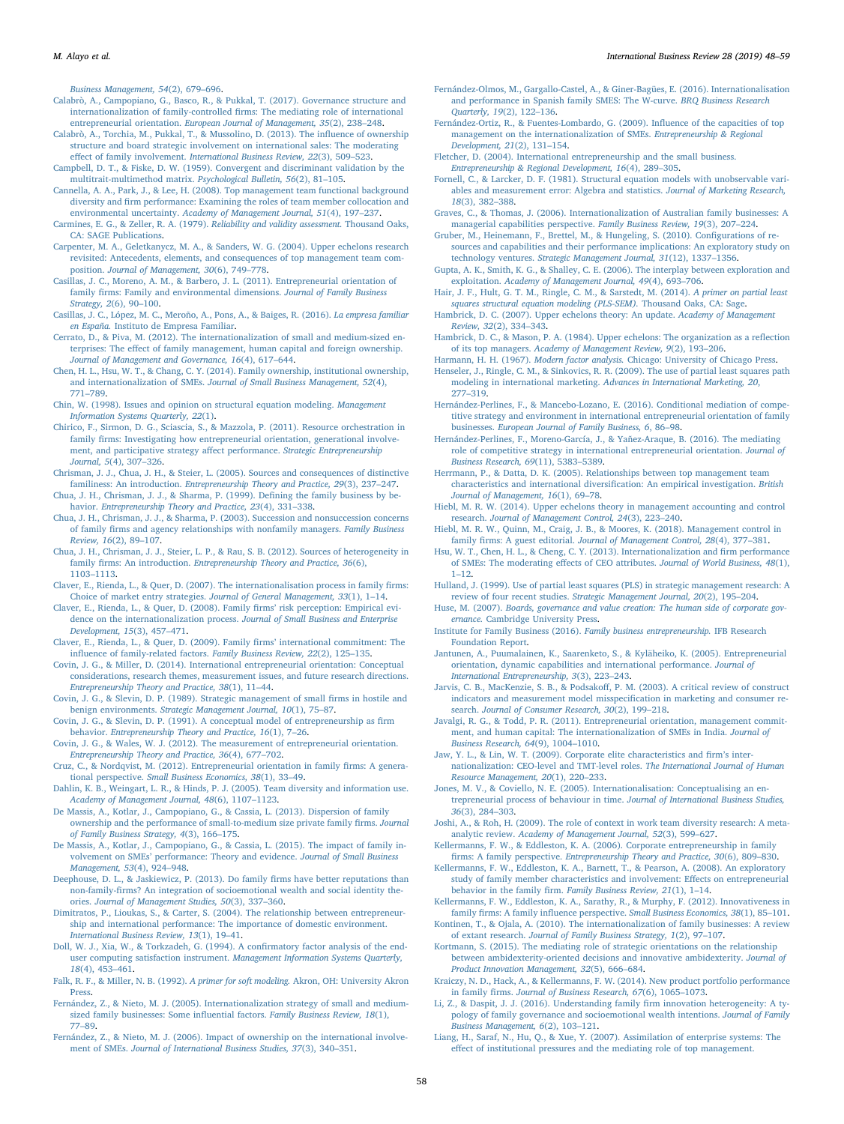[Business Management, 54](http://refhub.elsevier.com/S0969-5931(17)30649-2/sbref0100)(2), 679–696.

- <span id="page-10-2"></span>[Calabrò, A., Campopiano, G., Basco, R., & Pukkal, T. \(2017\). Governance structure and](http://refhub.elsevier.com/S0969-5931(17)30649-2/sbref0105) internationalization of family-controlled fi[rms: The mediating role of international](http://refhub.elsevier.com/S0969-5931(17)30649-2/sbref0105) entrepreneurial orientation. [European Journal of Management, 35](http://refhub.elsevier.com/S0969-5931(17)30649-2/sbref0105)(2), 238–248.
- <span id="page-10-11"></span>[Calabrò, A., Torchia, M., Pukkal, T., & Mussolino, D. \(2013\). The in](http://refhub.elsevier.com/S0969-5931(17)30649-2/sbref0110)fluence of ownership [structure and board strategic involvement on international sales: The moderating](http://refhub.elsevier.com/S0969-5931(17)30649-2/sbref0110) effect of family involvement. [International Business Review, 22](http://refhub.elsevier.com/S0969-5931(17)30649-2/sbref0110)(3), 509–523.
- <span id="page-10-50"></span>[Campbell, D. T., & Fiske, D. W. \(1959\). Convergent and discriminant validation by the](http://refhub.elsevier.com/S0969-5931(17)30649-2/sbref0115) [multitrait-multimethod matrix.](http://refhub.elsevier.com/S0969-5931(17)30649-2/sbref0115) Psychological Bulletin, 56(2), 81–105.
- <span id="page-10-19"></span>[Cannella, A. A., Park, J., & Lee, H. \(2008\). Top management team functional background](http://refhub.elsevier.com/S0969-5931(17)30649-2/sbref0120) diversity and fi[rm performance: Examining the roles of team member collocation and](http://refhub.elsevier.com/S0969-5931(17)30649-2/sbref0120) environmental uncertainty. [Academy of Management Journal, 51](http://refhub.elsevier.com/S0969-5931(17)30649-2/sbref0120)(4), 197–237.
- <span id="page-10-59"></span>[Carmines, E. G., & Zeller, R. A. \(1979\).](http://refhub.elsevier.com/S0969-5931(17)30649-2/sbref0125) Reliability and validity assessment. Thousand Oaks, [CA: SAGE Publications](http://refhub.elsevier.com/S0969-5931(17)30649-2/sbref0125).
- <span id="page-10-15"></span>[Carpenter, M. A., Geletkanycz, M. A., & Sanders, W. G. \(2004\). Upper echelons research](http://refhub.elsevier.com/S0969-5931(17)30649-2/sbref0130) [revisited: Antecedents, elements, and consequences of top management team com](http://refhub.elsevier.com/S0969-5931(17)30649-2/sbref0130)position. [Journal of Management, 30](http://refhub.elsevier.com/S0969-5931(17)30649-2/sbref0130)(6), 749–778.
- <span id="page-10-48"></span>[Casillas, J. C., Moreno, A. M., & Barbero, J. L. \(2011\). Entrepreneurial orientation of](http://refhub.elsevier.com/S0969-5931(17)30649-2/sbref0135) family fi[rms: Family and environmental dimensions.](http://refhub.elsevier.com/S0969-5931(17)30649-2/sbref0135) Journal of Family Business [Strategy, 2](http://refhub.elsevier.com/S0969-5931(17)30649-2/sbref0135)(6), 90–100.
- <span id="page-10-22"></span>[Casillas, J. C., López, M. C., Meroño, A., Pons, A., & Baiges, R. \(2016\).](http://refhub.elsevier.com/S0969-5931(17)30649-2/sbref0140) La empresa familiar en España. [Instituto de Empresa Familiar](http://refhub.elsevier.com/S0969-5931(17)30649-2/sbref0140).
- <span id="page-10-12"></span>[Cerrato, D., & Piva, M. \(2012\). The internationalization of small and medium-sized en](http://refhub.elsevier.com/S0969-5931(17)30649-2/sbref0145)terprises: The eff[ect of family management, human capital and foreign ownership.](http://refhub.elsevier.com/S0969-5931(17)30649-2/sbref0145) [Journal of Management and Governance, 16](http://refhub.elsevier.com/S0969-5931(17)30649-2/sbref0145)(4), 617–644.
- <span id="page-10-56"></span>[Chen, H. L., Hsu, W. T., & Chang, C. Y. \(2014\). Family ownership, institutional ownership,](http://refhub.elsevier.com/S0969-5931(17)30649-2/sbref0150) and internationalization of SMEs. [Journal of Small Business Management, 52](http://refhub.elsevier.com/S0969-5931(17)30649-2/sbref0150)(4), 771–[789](http://refhub.elsevier.com/S0969-5931(17)30649-2/sbref0150).
- <span id="page-10-57"></span>[Chin, W. \(1998\). Issues and opinion on structural equation modeling.](http://refhub.elsevier.com/S0969-5931(17)30649-2/sbref0155) Management [Information Systems Quarterly, 22](http://refhub.elsevier.com/S0969-5931(17)30649-2/sbref0155)(1).
- <span id="page-10-45"></span>[Chirico, F., Sirmon, D. G., Sciascia, S., & Mazzola, P. \(2011\). Resource orchestration in](http://refhub.elsevier.com/S0969-5931(17)30649-2/sbref0160) family fi[rms: Investigating how entrepreneurial orientation, generational involve](http://refhub.elsevier.com/S0969-5931(17)30649-2/sbref0160)[ment, and participative strategy a](http://refhub.elsevier.com/S0969-5931(17)30649-2/sbref0160)ffect performance. Strategic Entrepreneurship Journal, 5[\(4\), 307](http://refhub.elsevier.com/S0969-5931(17)30649-2/sbref0160)–326.
- <span id="page-10-8"></span>[Chrisman, J. J., Chua, J. H., & Steier, L. \(2005\). Sources and consequences of distinctive](http://refhub.elsevier.com/S0969-5931(17)30649-2/sbref0165) familiness: An introduction. [Entrepreneurship Theory and Practice, 29](http://refhub.elsevier.com/S0969-5931(17)30649-2/sbref0165)(3), 237–247.
- <span id="page-10-49"></span>[Chua, J. H., Chrisman, J. J., & Sharma, P. \(1999\). De](http://refhub.elsevier.com/S0969-5931(17)30649-2/sbref0170)fining the family business by behavior. [Entrepreneurship Theory and Practice, 23](http://refhub.elsevier.com/S0969-5931(17)30649-2/sbref0170)(4), 331–338.
- <span id="page-10-41"></span>[Chua, J. H., Chrisman, J. J., & Sharma, P. \(2003\). Succession and nonsuccession concerns](http://refhub.elsevier.com/S0969-5931(17)30649-2/sbref0175) of family fi[rms and agency relationships with nonfamily managers.](http://refhub.elsevier.com/S0969-5931(17)30649-2/sbref0175) Family Business [Review, 16](http://refhub.elsevier.com/S0969-5931(17)30649-2/sbref0175)(2), 89–107.
- <span id="page-10-23"></span>[Chua, J. H., Chrisman, J. J., Steier, L. P., & Rau, S. B. \(2012\). Sources of heterogeneity in](http://refhub.elsevier.com/S0969-5931(17)30649-2/sbref0180) family firms: An introduction. [Entrepreneurship Theory and Practice, 36](http://refhub.elsevier.com/S0969-5931(17)30649-2/sbref0180)(6), [1103](http://refhub.elsevier.com/S0969-5931(17)30649-2/sbref0180)–1113.
- <span id="page-10-47"></span>[Claver, E., Rienda, L., & Quer, D. \(2007\). The internationalisation process in family](http://refhub.elsevier.com/S0969-5931(17)30649-2/sbref0185) firms: Choice of market entry strategies. [Journal of General Management, 33](http://refhub.elsevier.com/S0969-5931(17)30649-2/sbref0185)(1), 1–14.
- <span id="page-10-13"></span>[Claver, E., Rienda, L., & Quer, D. \(2008\). Family](http://refhub.elsevier.com/S0969-5931(17)30649-2/sbref0190) firms' risk perception: Empirical evi[dence on the internationalization process.](http://refhub.elsevier.com/S0969-5931(17)30649-2/sbref0190) Journal of Small Business and Enterprise [Development, 15](http://refhub.elsevier.com/S0969-5931(17)30649-2/sbref0190)(3), 457–471.
- <span id="page-10-44"></span>[Claver, E., Rienda, L., & Quer, D. \(2009\). Family](http://refhub.elsevier.com/S0969-5931(17)30649-2/sbref0195) firms' international commitment: The infl[uence of family-related factors.](http://refhub.elsevier.com/S0969-5931(17)30649-2/sbref0195) Family Business Review, 22(2), 125–135.
- <span id="page-10-27"></span>[Covin, J. G., & Miller, D. \(2014\). International entrepreneurial orientation: Conceptual](http://refhub.elsevier.com/S0969-5931(17)30649-2/sbref0200) [considerations, research themes, measurement issues, and future research directions.](http://refhub.elsevier.com/S0969-5931(17)30649-2/sbref0200) [Entrepreneurship Theory and Practice, 38](http://refhub.elsevier.com/S0969-5931(17)30649-2/sbref0200)(1), 11–44.
- <span id="page-10-54"></span>[Covin, J. G., & Slevin, D. P. \(1989\). Strategic management of small](http://refhub.elsevier.com/S0969-5931(17)30649-2/sbref0205) firms in hostile and benign environments. [Strategic Management Journal, 10](http://refhub.elsevier.com/S0969-5931(17)30649-2/sbref0205)(1), 75–87.
- <span id="page-10-26"></span>[Covin, J. G., & Slevin, D. P. \(1991\). A conceptual model of entrepreneurship as](http://refhub.elsevier.com/S0969-5931(17)30649-2/sbref0210) firm behavior. [Entrepreneurship Theory and Practice, 16](http://refhub.elsevier.com/S0969-5931(17)30649-2/sbref0210)(1), 7–26.
- <span id="page-10-25"></span>[Covin, J. G., & Wales, W. J. \(2012\). The measurement of entrepreneurial orientation.](http://refhub.elsevier.com/S0969-5931(17)30649-2/sbref0215) [Entrepreneurship Theory and Practice, 36](http://refhub.elsevier.com/S0969-5931(17)30649-2/sbref0215)(4), 677–702.
- <span id="page-10-40"></span>[Cruz, C., & Nordqvist, M. \(2012\). Entrepreneurial orientation in family](http://refhub.elsevier.com/S0969-5931(17)30649-2/sbref0220) firms: A generational perspective. [Small Business Economics, 38](http://refhub.elsevier.com/S0969-5931(17)30649-2/sbref0220)(1), 33–49.
- <span id="page-10-38"></span>[Dahlin, K. B., Weingart, L. R., & Hinds, P. J. \(2005\). Team diversity and information use.](http://refhub.elsevier.com/S0969-5931(17)30649-2/sbref0225) [Academy of Management Journal, 48](http://refhub.elsevier.com/S0969-5931(17)30649-2/sbref0225)(6), 1107–1123.
- <span id="page-10-21"></span>[De Massis, A., Kotlar, J., Campopiano, G., & Cassia, L. \(2013\). Dispersion of family](http://refhub.elsevier.com/S0969-5931(17)30649-2/sbref0230) [ownership and the performance of small-to-medium size private family](http://refhub.elsevier.com/S0969-5931(17)30649-2/sbref0230) firms. Journal [of Family Business Strategy, 4](http://refhub.elsevier.com/S0969-5931(17)30649-2/sbref0230)(3), 166–175.
- <span id="page-10-36"></span>[De Massis, A., Kotlar, J., Campopiano, G., & Cassia, L. \(2015\). The impact of family in](http://refhub.elsevier.com/S0969-5931(17)30649-2/sbref0235)volvement on SMEs' [performance: Theory and evidence.](http://refhub.elsevier.com/S0969-5931(17)30649-2/sbref0235) Journal of Small Business [Management, 53](http://refhub.elsevier.com/S0969-5931(17)30649-2/sbref0235)(4), 924–948.
- <span id="page-10-10"></span>[Deephouse, D. L., & Jaskiewicz, P. \(2013\). Do family](http://refhub.elsevier.com/S0969-5931(17)30649-2/sbref0240) firms have better reputations than non-family-fi[rms? An integration of socioemotional wealth and social identity the](http://refhub.elsevier.com/S0969-5931(17)30649-2/sbref0240)ories. [Journal of Management Studies, 50](http://refhub.elsevier.com/S0969-5931(17)30649-2/sbref0240)(3), 337–360.
- <span id="page-10-30"></span>[Dimitratos, P., Lioukas, S., & Carter, S. \(2004\). The relationship between entrepreneur](http://refhub.elsevier.com/S0969-5931(17)30649-2/sbref0245)[ship and international performance: The importance of domestic environment.](http://refhub.elsevier.com/S0969-5931(17)30649-2/sbref0245) [International Business Review, 13](http://refhub.elsevier.com/S0969-5931(17)30649-2/sbref0245)(1), 19–41.
- <span id="page-10-60"></span>[Doll, W. J., Xia, W., & Torkzadeh, G. \(1994\). A con](http://refhub.elsevier.com/S0969-5931(17)30649-2/sbref0250)firmatory factor analysis of the enduser computing satisfaction instrument. [Management Information Systems Quarterly,](http://refhub.elsevier.com/S0969-5931(17)30649-2/sbref0250) 18[\(4\), 453](http://refhub.elsevier.com/S0969-5931(17)30649-2/sbref0250)–461.
- <span id="page-10-63"></span>[Falk, R. F., & Miller, N. B. \(1992\).](http://refhub.elsevier.com/S0969-5931(17)30649-2/sbref0255) A primer for soft modeling. Akron, OH: University Akron [Press.](http://refhub.elsevier.com/S0969-5931(17)30649-2/sbref0255)
- <span id="page-10-32"></span>[Fernández, Z., & Nieto, M. J. \(2005\). Internationalization strategy of small and medium](http://refhub.elsevier.com/S0969-5931(17)30649-2/sbref0260)[sized family businesses: Some in](http://refhub.elsevier.com/S0969-5931(17)30649-2/sbref0260)fluential factors. Family Business Review, 18(1), 77–[89](http://refhub.elsevier.com/S0969-5931(17)30649-2/sbref0260). [Fernández, Z., & Nieto, M. J. \(2006\). Impact of ownership on the international involve-](http://refhub.elsevier.com/S0969-5931(17)30649-2/sbref0265)
- <span id="page-10-7"></span>ment of SMEs. [Journal of International Business Studies, 37](http://refhub.elsevier.com/S0969-5931(17)30649-2/sbref0265)(3), 340–351.
- <span id="page-10-14"></span>[Fernández-Olmos, M., Gargallo-Castel, A., & Giner-Bagües, E. \(2016\). Internationalisation](http://refhub.elsevier.com/S0969-5931(17)30649-2/sbref0270) [and performance in Spanish family SMES: The W-curve.](http://refhub.elsevier.com/S0969-5931(17)30649-2/sbref0270) BRQ Business Research [Quarterly, 19](http://refhub.elsevier.com/S0969-5931(17)30649-2/sbref0270)(2), 122–136.
- <span id="page-10-67"></span>[Fernández-Ortiz, R., & Fuentes-Lombardo, G. \(2009\). In](http://refhub.elsevier.com/S0969-5931(17)30649-2/sbref0275)fluence of the capacities of top management [on the internationalization of SMEs.](http://refhub.elsevier.com/S0969-5931(17)30649-2/sbref0275) Entrepreneurship & Regional [Development, 21](http://refhub.elsevier.com/S0969-5931(17)30649-2/sbref0275)(2), 131–154.
- <span id="page-10-29"></span>[Fletcher, D. \(2004\). International entrepreneurship and the small business.](http://refhub.elsevier.com/S0969-5931(17)30649-2/sbref0280) [Entrepreneurship & Regional Development, 16](http://refhub.elsevier.com/S0969-5931(17)30649-2/sbref0280)(4), 289–305.
- <span id="page-10-61"></span>[Fornell, C., & Larcker, D. F. \(1981\). Structural equation models with unobservable vari](http://refhub.elsevier.com/S0969-5931(17)30649-2/sbref0285)[ables and measurement error: Algebra and statistics.](http://refhub.elsevier.com/S0969-5931(17)30649-2/sbref0285) Journal of Marketing Research, 18[\(3\), 382](http://refhub.elsevier.com/S0969-5931(17)30649-2/sbref0285)–388.
- <span id="page-10-6"></span>[Graves, C., & Thomas, J. \(2006\). Internationalization of Australian family businesses: A](http://refhub.elsevier.com/S0969-5931(17)30649-2/sbref0290) [managerial capabilities perspective.](http://refhub.elsevier.com/S0969-5931(17)30649-2/sbref0290) Family Business Review, 19(3), 207–224.
- <span id="page-10-65"></span>[Gruber, M., Heinemann, F., Brettel, M., & Hungeling, S. \(2010\). Con](http://refhub.elsevier.com/S0969-5931(17)30649-2/sbref0295)figurations of re[sources and capabilities and their performance implications: An exploratory study on](http://refhub.elsevier.com/S0969-5931(17)30649-2/sbref0295) technology ventures. [Strategic Management Journal, 31](http://refhub.elsevier.com/S0969-5931(17)30649-2/sbref0295)(12), 1337–1356.
- <span id="page-10-42"></span>[Gupta, A. K., Smith, K. G., & Shalley, C. E. \(2006\). The interplay between exploration and](http://refhub.elsevier.com/S0969-5931(17)30649-2/sbref0300) exploitation. [Academy of Management Journal, 49](http://refhub.elsevier.com/S0969-5931(17)30649-2/sbref0300)(4), 693–706.
- <span id="page-10-62"></span>[Hair, J. F., Hult, G. T. M., Ringle, C. M., & Sarstedt, M. \(2014\).](http://refhub.elsevier.com/S0969-5931(17)30649-2/sbref0305) A primer on partial least [squares structural equation modeling \(PLS-SEM\).](http://refhub.elsevier.com/S0969-5931(17)30649-2/sbref0305) Thousand Oaks, CA: Sage.
- <span id="page-10-17"></span>[Hambrick, D. C. \(2007\). Upper echelons theory: An update.](http://refhub.elsevier.com/S0969-5931(17)30649-2/sbref0310) Academy of Management [Review, 32](http://refhub.elsevier.com/S0969-5931(17)30649-2/sbref0310)(2), 334–343.
- <span id="page-10-16"></span>[Hambrick, D. C., & Mason, P. A. \(1984\). Upper echelons: The organization as a re](http://refhub.elsevier.com/S0969-5931(17)30649-2/sbref0315)flection of its top managers. [Academy of Management Review, 9](http://refhub.elsevier.com/S0969-5931(17)30649-2/sbref0315)(2), 193–206.
- <span id="page-10-64"></span><span id="page-10-52"></span>Harmann, H. H. (1967). Modern factor analysis. [Chicago: University of Chicago Press.](http://refhub.elsevier.com/S0969-5931(17)30649-2/sbref0320) [Henseler, J., Ringle, C. M., & Sinkovics, R. R. \(2009\). The use of partial least squares path](http://refhub.elsevier.com/S0969-5931(17)30649-2/sbref0325) modeling in international marketing. [Advances in International Marketing, 20](http://refhub.elsevier.com/S0969-5931(17)30649-2/sbref0325), 277–[319](http://refhub.elsevier.com/S0969-5931(17)30649-2/sbref0325).
- <span id="page-10-3"></span>[Hernández-Perlines, F., & Mancebo-Lozano, E. \(2016\). Conditional mediation of compe](http://refhub.elsevier.com/S0969-5931(17)30649-2/sbref0330)[titive strategy and environment in international entrepreneurial orientation of family](http://refhub.elsevier.com/S0969-5931(17)30649-2/sbref0330) businesses. [European Journal of Family Business, 6](http://refhub.elsevier.com/S0969-5931(17)30649-2/sbref0330), 86–98.
- <span id="page-10-4"></span>[Hernández-Perlines, F., Moreno-García, J., & Yañez-Araque, B. \(2016\). The mediating](http://refhub.elsevier.com/S0969-5931(17)30649-2/sbref0335) [role of competitive strategy in international entrepreneurial orientation.](http://refhub.elsevier.com/S0969-5931(17)30649-2/sbref0335) Journal of [Business Research, 69](http://refhub.elsevier.com/S0969-5931(17)30649-2/sbref0335)(11), 5383–5389.
- <span id="page-10-66"></span>[Herrmann, P., & Datta, D. K. \(2005\). Relationships between top management team](http://refhub.elsevier.com/S0969-5931(17)30649-2/sbref0340) [characteristics and international diversi](http://refhub.elsevier.com/S0969-5931(17)30649-2/sbref0340)fication: An empirical investigation. British [Journal of Management, 16](http://refhub.elsevier.com/S0969-5931(17)30649-2/sbref0340)(1), 69–78.
- <span id="page-10-18"></span>Hiebl, [M. R. W. \(2014\). Upper echelons theory in management accounting and control](http://refhub.elsevier.com/S0969-5931(17)30649-2/sbref0345) research. [Journal of Management Control, 24](http://refhub.elsevier.com/S0969-5931(17)30649-2/sbref0345)(3), 223–240.
- <span id="page-10-5"></span>[Hiebl, M. R. W., Quinn, M., Craig, J. B., & Moores, K. \(2018\). Management control in](http://refhub.elsevier.com/S0969-5931(17)30649-2/sbref0350) family firms: A guest editorial. [Journal of Management Control, 28](http://refhub.elsevier.com/S0969-5931(17)30649-2/sbref0350)(4), 377–381.
- <span id="page-10-43"></span>[Hsu, W. T., Chen, H. L., & Cheng, C. Y. \(2013\). Internationalization and](http://refhub.elsevier.com/S0969-5931(17)30649-2/sbref0355) firm performance of SMEs: The moderating effects of CEO attributes. [Journal of World Business, 48](http://refhub.elsevier.com/S0969-5931(17)30649-2/sbref0355)(1), 1–[12.](http://refhub.elsevier.com/S0969-5931(17)30649-2/sbref0355)
- <span id="page-10-58"></span>[Hulland, J. \(1999\). Use of partial least squares \(PLS\) in strategic management research: A](http://refhub.elsevier.com/S0969-5931(17)30649-2/sbref0360) review of four recent studies. [Strategic Management Journal, 20](http://refhub.elsevier.com/S0969-5931(17)30649-2/sbref0360)(2), 195–204.
- <span id="page-10-34"></span>Huse, M. (2007). [Boards, governance and value creation: The human side of corporate gov](http://refhub.elsevier.com/S0969-5931(17)30649-2/sbref0365)ernance. [Cambridge University Press.](http://refhub.elsevier.com/S0969-5931(17)30649-2/sbref0365)
- <span id="page-10-35"></span>[Institute for Family Business \(2016\).](http://refhub.elsevier.com/S0969-5931(17)30649-2/sbref0370) Family business entrepreneurship. IFB Research [Foundation Report.](http://refhub.elsevier.com/S0969-5931(17)30649-2/sbref0370)
- <span id="page-10-0"></span>[Jantunen, A., Puumalainen, K., Saarenketo, S., & Kyläheiko, K. \(2005\). Entrepreneurial](http://refhub.elsevier.com/S0969-5931(17)30649-2/sbref0375) [orientation, dynamic capabilities and international performance.](http://refhub.elsevier.com/S0969-5931(17)30649-2/sbref0375) Journal of [International Entrepreneurship, 3](http://refhub.elsevier.com/S0969-5931(17)30649-2/sbref0375)(3), 223–243.
- <span id="page-10-55"></span>Jarvis, C. B., MacKenzie, S. B., & Podsakoff[, P. M. \(2003\). A critical review of construct](http://refhub.elsevier.com/S0969-5931(17)30649-2/sbref0380) [indicators and measurement model misspeci](http://refhub.elsevier.com/S0969-5931(17)30649-2/sbref0380)fication in marketing and consumer research. [Journal of Consumer Research, 30](http://refhub.elsevier.com/S0969-5931(17)30649-2/sbref0380)(2), 199–218.
- <span id="page-10-1"></span>[Javalgi, R. G., & Todd, P. R. \(2011\). Entrepreneurial orientation, management commit](http://refhub.elsevier.com/S0969-5931(17)30649-2/sbref0385)[ment, and human capital: The internationalization of SMEs in India.](http://refhub.elsevier.com/S0969-5931(17)30649-2/sbref0385) Journal of [Business Research, 64](http://refhub.elsevier.com/S0969-5931(17)30649-2/sbref0385)(9), 1004–1010.
- <span id="page-10-37"></span>[Jaw, Y. L., & Lin, W. T. \(2009\). Corporate elite characteristics and](http://refhub.elsevier.com/S0969-5931(17)30649-2/sbref0390) firm's inter[nationalization: CEO-level and TMT-level roles.](http://refhub.elsevier.com/S0969-5931(17)30649-2/sbref0390) The International Journal of Human [Resource Management, 20](http://refhub.elsevier.com/S0969-5931(17)30649-2/sbref0390)(1), 220–233.
- <span id="page-10-28"></span>[Jones, M. V., & Coviello, N. E. \(2005\). Internationalisation: Conceptualising an en](http://refhub.elsevier.com/S0969-5931(17)30649-2/sbref0395)[trepreneurial process of behaviour in time.](http://refhub.elsevier.com/S0969-5931(17)30649-2/sbref0395) Journal of International Business Studies, 36[\(3\), 284](http://refhub.elsevier.com/S0969-5931(17)30649-2/sbref0395)–303.
- <span id="page-10-39"></span>[Joshi, A., & Roh, H. \(2009\). The role of context in work team diversity research: A meta](http://refhub.elsevier.com/S0969-5931(17)30649-2/sbref0400)analytic review. [Academy of Management Journal, 52](http://refhub.elsevier.com/S0969-5931(17)30649-2/sbref0400)(3), 599–627.
- <span id="page-10-31"></span>Kellermanns, [F. W., & Eddleston, K. A. \(2006\). Corporate entrepreneurship in family](http://refhub.elsevier.com/S0969-5931(17)30649-2/sbref0405) firms: A family perspective. [Entrepreneurship Theory and Practice, 30](http://refhub.elsevier.com/S0969-5931(17)30649-2/sbref0405)(6), 809–830.
- <span id="page-10-46"></span>[Kellermanns, F. W., Eddleston, K. A., Barnett, T., & Pearson, A. \(2008\). An exploratory](http://refhub.elsevier.com/S0969-5931(17)30649-2/sbref0410) [study of family member characteristics and involvement: E](http://refhub.elsevier.com/S0969-5931(17)30649-2/sbref0410)ffects on entrepreneurial behavior in the family firm. [Family Business Review, 21](http://refhub.elsevier.com/S0969-5931(17)30649-2/sbref0410)(1), 1–14.
- <span id="page-10-9"></span>[Kellermanns, F. W., Eddleston, K. A., Sarathy, R., & Murphy, F. \(2012\). Innovativeness in](http://refhub.elsevier.com/S0969-5931(17)30649-2/sbref0415) family firms: A family influence perspective. [Small Business Economics, 38](http://refhub.elsevier.com/S0969-5931(17)30649-2/sbref0415)(1), 85–101. [Kontinen, T., & Ojala, A. \(2010\). The internationalization of family businesses: A review](http://refhub.elsevier.com/S0969-5931(17)30649-2/sbref0420)
- <span id="page-10-33"></span>of extant research. [Journal of Family Business Strategy, 1](http://refhub.elsevier.com/S0969-5931(17)30649-2/sbref0420)(2), 97–107. [Kortmann, S. \(2015\). The mediating role of strategic orientations on the relationship](http://refhub.elsevier.com/S0969-5931(17)30649-2/sbref0425)
- <span id="page-10-51"></span>[between ambidexterity-oriented decisions and innovative ambidexterity.](http://refhub.elsevier.com/S0969-5931(17)30649-2/sbref0425) Journal of [Product Innovation Management, 32](http://refhub.elsevier.com/S0969-5931(17)30649-2/sbref0425)(5), 666–684.
- <span id="page-10-20"></span>[Kraiczy, N. D., Hack, A., & Kellermanns, F. W. \(2014\). New product portfolio performance](http://refhub.elsevier.com/S0969-5931(17)30649-2/sbref0430) in family firms. [Journal of Business Research, 67](http://refhub.elsevier.com/S0969-5931(17)30649-2/sbref0430)(6), 1065–1073.
- <span id="page-10-24"></span>[Li, Z., & Daspit, J. J. \(2016\). Understanding family](http://refhub.elsevier.com/S0969-5931(17)30649-2/sbref0435) firm innovation heterogeneity: A ty[pology of family governance and socioemotional wealth intentions.](http://refhub.elsevier.com/S0969-5931(17)30649-2/sbref0435) Journal of Family [Business Management, 6](http://refhub.elsevier.com/S0969-5931(17)30649-2/sbref0435)(2), 103–121.
- <span id="page-10-53"></span>[Liang, H., Saraf, N., Hu, Q., & Xue, Y. \(2007\). Assimilation of enterprise systems: The](http://refhub.elsevier.com/S0969-5931(17)30649-2/sbref0440) eff[ect of institutional pressures and the mediating role of top management.](http://refhub.elsevier.com/S0969-5931(17)30649-2/sbref0440)